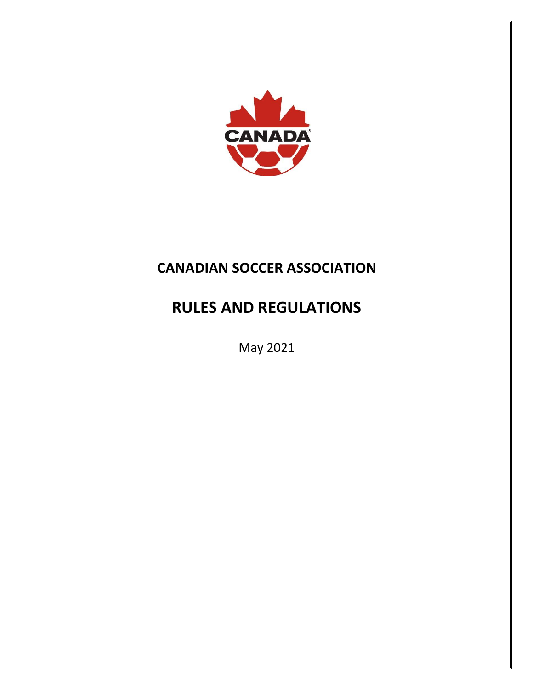

# **CANADIAN SOCCER ASSOCIATION**

# **RULES AND REGULATIONS**

May 2021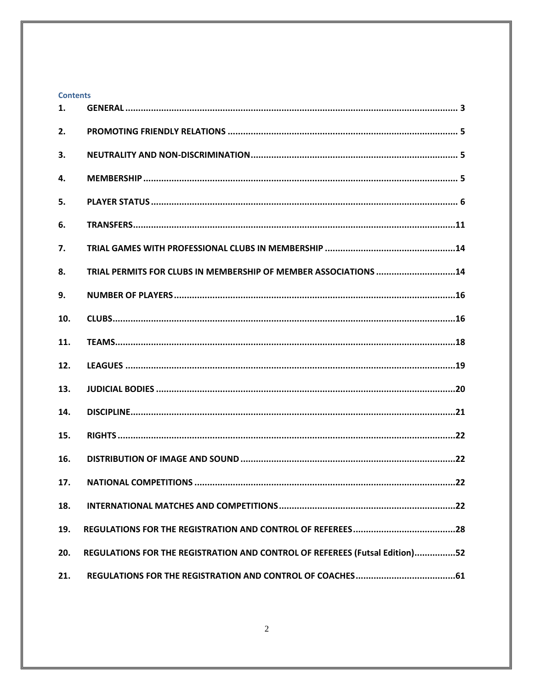| <b>Contents</b> |                                                                             |
|-----------------|-----------------------------------------------------------------------------|
| 1.              |                                                                             |
| 2.              |                                                                             |
| 3.              |                                                                             |
| 4.              |                                                                             |
| 5.              |                                                                             |
| 6.              |                                                                             |
| 7.              |                                                                             |
| 8.              | TRIAL PERMITS FOR CLUBS IN MEMBERSHIP OF MEMBER ASSOCIATIONS 14             |
| 9.              |                                                                             |
| 10.             |                                                                             |
| 11.             |                                                                             |
| 12.             |                                                                             |
| 13.             |                                                                             |
| 14.             |                                                                             |
| 15.             |                                                                             |
| 16.             |                                                                             |
| 17.             | .22                                                                         |
| 18.             |                                                                             |
| 19.             |                                                                             |
| 20.             | REGULATIONS FOR THE REGISTRATION AND CONTROL OF REFEREES (Futsal Edition)52 |
| 21.             |                                                                             |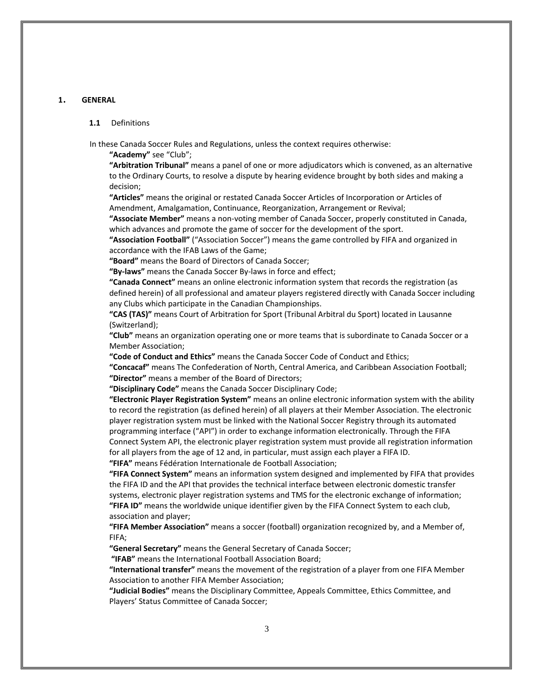#### <span id="page-2-0"></span>**<sup>1</sup>**. **GENERAL**

#### **1.1** Definitions

In these Canada Soccer Rules and Regulations, unless the context requires otherwise:

**"Academy"** see "Club";

**"Arbitration Tribunal"** means a panel of one or more adjudicators which is convened, as an alternative to the Ordinary Courts, to resolve a dispute by hearing evidence brought by both sides and making a decision;

**"Articles"** means the original or restated Canada Soccer Articles of Incorporation or Articles of Amendment, Amalgamation, Continuance, Reorganization, Arrangement or Revival;

**"Associate Member"** means a non-voting member of Canada Soccer, properly constituted in Canada, which advances and promote the game of soccer for the development of the sport.

**"Association Football"** ("Association Soccer") means the game controlled by FIFA and organized in accordance with the IFAB Laws of the Game;

**"Board"** means the Board of Directors of Canada Soccer;

**"By-laws"** means the Canada Soccer By-laws in force and effect;

**"Canada Connect"** means an online electronic information system that records the registration (as defined herein) of all professional and amateur players registered directly with Canada Soccer including any Clubs which participate in the Canadian Championships.

**"CAS (TAS)"** means Court of Arbitration for Sport (Tribunal Arbitral du Sport) located in Lausanne (Switzerland);

**"Club"** means an organization operating one or more teams that is subordinate to Canada Soccer or a Member Association;

**"Code of Conduct and Ethics"** means the Canada Soccer Code of Conduct and Ethics;

**"Concacaf"** means The Confederation of North, Central America, and Caribbean Association Football; **"Director"** means a member of the Board of Directors;

**"Disciplinary Code"** means the Canada Soccer Disciplinary Code;

**"Electronic Player Registration System"** means an online electronic information system with the ability to record the registration (as defined herein) of all players at their Member Association. The electronic player registration system must be linked with the National Soccer Registry through its automated programming interface ("API") in order to exchange information electronically. Through the FIFA Connect System API, the electronic player registration system must provide all registration information for all players from the age of 12 and, in particular, must assign each player a FIFA ID.

**"FIFA"** means Fédération Internationale de Football Association;

**"FIFA Connect System"** means an information system designed and implemented by FIFA that provides the FIFA ID and the API that provides the technical interface between electronic domestic transfer systems, electronic player registration systems and TMS for the electronic exchange of information; **"FIFA ID"** means the worldwide unique identifier given by the FIFA Connect System to each club, association and player;

**"FIFA Member Association"** means a soccer (football) organization recognized by, and a Member of, FIFA;

**"General Secretary"** means the General Secretary of Canada Soccer;

**"IFAB"** means the International Football Association Board;

**"International transfer"** means the movement of the registration of a player from one FIFA Member Association to another FIFA Member Association;

**"Judicial Bodies"** means the Disciplinary Committee, Appeals Committee, Ethics Committee, and Players' Status Committee of Canada Soccer;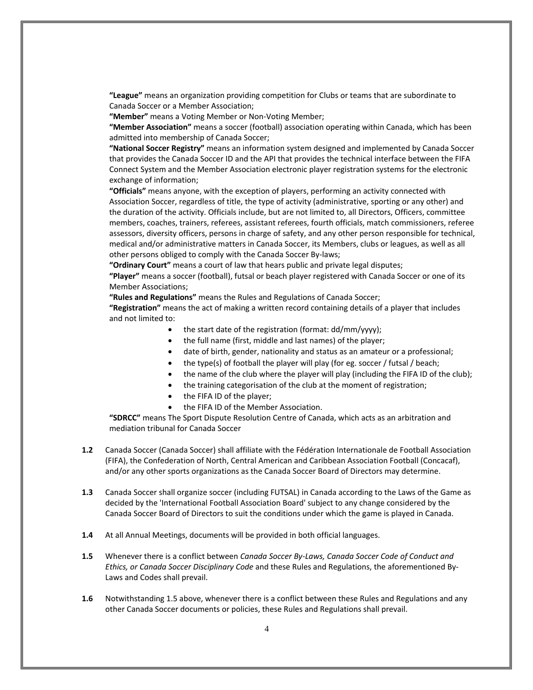**"League"** means an organization providing competition for Clubs or teams that are subordinate to Canada Soccer or a Member Association;

**"Member"** means a Voting Member or Non-Voting Member;

**"Member Association"** means a soccer (football) association operating within Canada, which has been admitted into membership of Canada Soccer;

**"National Soccer Registry"** means an information system designed and implemented by Canada Soccer that provides the Canada Soccer ID and the API that provides the technical interface between the FIFA Connect System and the Member Association electronic player registration systems for the electronic exchange of information;

**"Officials"** means anyone, with the exception of players, performing an activity connected with Association Soccer, regardless of title, the type of activity (administrative, sporting or any other) and the duration of the activity. Officials include, but are not limited to, all Directors, Officers, committee members, coaches, trainers, referees, assistant referees, fourth officials, match commissioners, referee assessors, diversity officers, persons in charge of safety, and any other person responsible for technical, medical and/or administrative matters in Canada Soccer, its Members, clubs or leagues, as well as all other persons obliged to comply with the Canada Soccer By-laws;

**"Ordinary Court"** means a court of law that hears public and private legal disputes;

**"Player"** means a soccer (football), futsal or beach player registered with Canada Soccer or one of its Member Associations;

**"Rules and Regulations"** means the Rules and Regulations of Canada Soccer;

**"Registration"** means the act of making a written record containing details of a player that includes and not limited to:

- the start date of the registration (format: dd/mm/yyyy);
- the full name (first, middle and last names) of the player;
- date of birth, gender, nationality and status as an amateur or a professional;
- the type(s) of football the player will play (for eg. soccer / futsal / beach;
- the name of the club where the player will play (including the FIFA ID of the club);
- the training categorisation of the club at the moment of registration;
- the FIFA ID of the player;
- the FIFA ID of the Member Association.

**"SDRCC"** means The Sport Dispute Resolution Centre of Canada, which acts as an arbitration and mediation tribunal for Canada Soccer

- **1.2** Canada Soccer (Canada Soccer) shall affiliate with the Fédération Internationale de Football Association (FIFA), the Confederation of North, Central American and Caribbean Association Football (Concacaf), and/or any other sports organizations as the Canada Soccer Board of Directors may determine.
- **1.3** Canada Soccer shall organize soccer (including FUTSAL) in Canada according to the Laws of the Game as decided by the 'International Football Association Board' subject to any change considered by the Canada Soccer Board of Directors to suit the conditions under which the game is played in Canada.
- **1.4** At all Annual Meetings, documents will be provided in both official languages.
- **1.5** Whenever there is a conflict between *Canada Soccer By-Laws, Canada Soccer Code of Conduct and Ethics, or Canada Soccer Disciplinary Code* and these Rules and Regulations, the aforementioned By-Laws and Codes shall prevail.
- **1.6** Notwithstanding 1.5 above, whenever there is a conflict between these Rules and Regulations and any other Canada Soccer documents or policies, these Rules and Regulations shall prevail.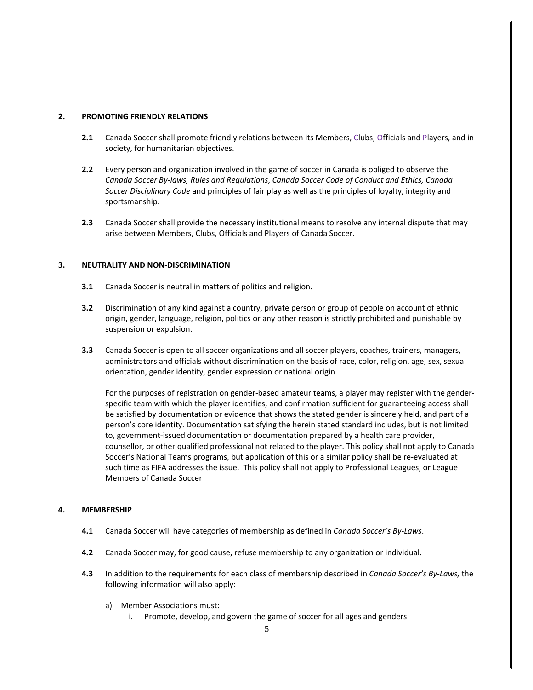## <span id="page-4-0"></span>**2. PROMOTING FRIENDLY RELATIONS**

- **2.1** Canada Soccer shall promote friendly relations between its Members, Clubs, Officials and Players, and in society, for humanitarian objectives.
- **2.2** Every person and organization involved in the game of soccer in Canada is obliged to observe the *Canada Soccer By-laws, Rules and Regulations*, *Canada Soccer Code of Conduct and Ethics, Canada Soccer Disciplinary Code* and principles of fair play as well as the principles of loyalty, integrity and sportsmanship.
- **2.3** Canada Soccer shall provide the necessary institutional means to resolve any internal dispute that may arise between Members, Clubs, Officials and Players of Canada Soccer.

## <span id="page-4-1"></span>**3. NEUTRALITY AND NON-DISCRIMINATION**

- **3.1** Canada Soccer is neutral in matters of politics and religion.
- **3.2** Discrimination of any kind against a country, private person or group of people on account of ethnic origin, gender, language, religion, politics or any other reason is strictly prohibited and punishable by suspension or expulsion.
- **3.3** Canada Soccer is open to all soccer organizations and all soccer players, coaches, trainers, managers, administrators and officials without discrimination on the basis of race, color, religion, age, sex, sexual orientation, gender identity, gender expression or national origin.

For the purposes of registration on gender-based amateur teams, a player may register with the genderspecific team with which the player identifies, and confirmation sufficient for guaranteeing access shall be satisfied by documentation or evidence that shows the stated gender is sincerely held, and part of a person's core identity. Documentation satisfying the herein stated standard includes, but is not limited to, government-issued documentation or documentation prepared by a health care provider, counsellor, or other qualified professional not related to the player. This policy shall not apply to Canada Soccer's National Teams programs, but application of this or a similar policy shall be re-evaluated at such time as FIFA addresses the issue. This policy shall not apply to Professional Leagues, or League Members of Canada Soccer

## <span id="page-4-2"></span>**4. MEMBERSHIP**

- **4.1** Canada Soccer will have categories of membership as defined in *Canada Soccer's By-Laws*.
- **4.2** Canada Soccer may, for good cause, refuse membership to any organization or individual.
- **4.3** In addition to the requirements for each class of membership described in *Canada Soccer's By-Laws,* the following information will also apply:
	- a) Member Associations must:
		- i. Promote, develop, and govern the game of soccer for all ages and genders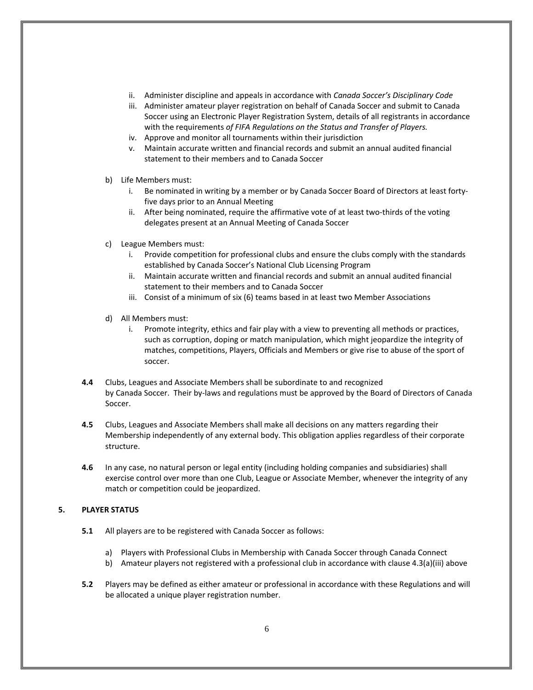- ii. Administer discipline and appeals in accordance with *Canada Soccer's Disciplinary Code*
- iii. Administer amateur player registration on behalf of Canada Soccer and submit to Canada Soccer using an Electronic Player Registration System, details of all registrants in accordance with the requirements *of FIFA Regulations on the Status and Transfer of Players.*
- iv. Approve and monitor all tournaments within their jurisdiction
- v. Maintain accurate written and financial records and submit an annual audited financial statement to their members and to Canada Soccer
- b) Life Members must:
	- i. Be nominated in writing by a member or by Canada Soccer Board of Directors at least fortyfive days prior to an Annual Meeting
	- ii. After being nominated, require the affirmative vote of at least two-thirds of the voting delegates present at an Annual Meeting of Canada Soccer
- c) League Members must:
	- i. Provide competition for professional clubs and ensure the clubs comply with the standards established by Canada Soccer's National Club Licensing Program
	- ii. Maintain accurate written and financial records and submit an annual audited financial statement to their members and to Canada Soccer
	- iii. Consist of a minimum of six (6) teams based in at least two Member Associations
- d) All Members must:
	- i. Promote integrity, ethics and fair play with a view to preventing all methods or practices, such as corruption, doping or match manipulation, which might jeopardize the integrity of matches, competitions, Players, Officials and Members or give rise to abuse of the sport of soccer.
- **4.4** Clubs, Leagues and Associate Members shall be subordinate to and recognized by Canada Soccer. Their by-laws and regulations must be approved by the Board of Directors of Canada Soccer.
- **4.5** Clubs, Leagues and Associate Members shall make all decisions on any matters regarding their Membership independently of any external body. This obligation applies regardless of their corporate structure.
- **4.6** In any case, no natural person or legal entity (including holding companies and subsidiaries) shall exercise control over more than one Club, League or Associate Member, whenever the integrity of any match or competition could be jeopardized.

## <span id="page-5-0"></span>**5. PLAYER STATUS**

- **5.1** All players are to be registered with Canada Soccer as follows:
	- a) Players with Professional Clubs in Membership with Canada Soccer through Canada Connect
	- b) Amateur players not registered with a professional club in accordance with clause 4.3(a)(iii) above
- **5.2** Players may be defined as either amateur or professional in accordance with these Regulations and will be allocated a unique player registration number.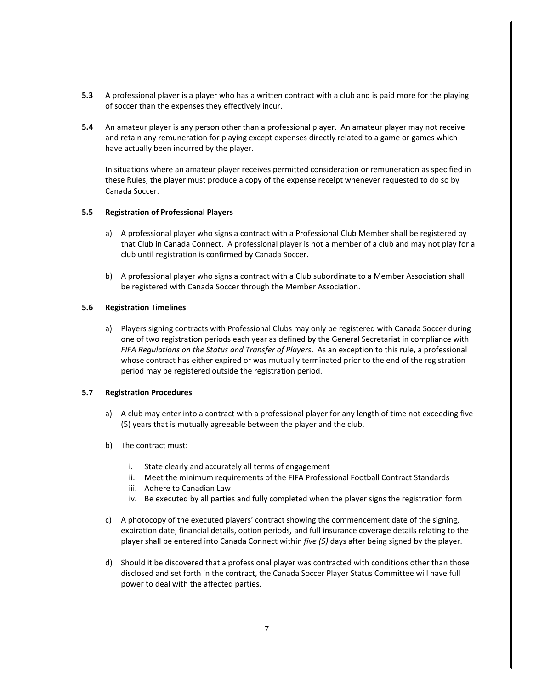- **5.3** A professional player is a player who has a written contract with a club and is paid more for the playing of soccer than the expenses they effectively incur.
- **5.4** An amateur player is any person other than a professional player. An amateur player may not receive and retain any remuneration for playing except expenses directly related to a game or games which have actually been incurred by the player.

In situations where an amateur player receives permitted consideration or remuneration as specified in these Rules, the player must produce a copy of the expense receipt whenever requested to do so by Canada Soccer.

## **5.5 Registration of Professional Players**

- a) A professional player who signs a contract with a Professional Club Member shall be registered by that Club in Canada Connect. A professional player is not a member of a club and may not play for a club until registration is confirmed by Canada Soccer.
- b) A professional player who signs a contract with a Club subordinate to a Member Association shall be registered with Canada Soccer through the Member Association.

## **5.6 Registration Timelines**

a) Players signing contracts with Professional Clubs may only be registered with Canada Soccer during one of two registration periods each year as defined by the General Secretariat in compliance with *FIFA Regulations on the Status and Transfer of Players*. As an exception to this rule, a professional whose contract has either expired or was mutually terminated prior to the end of the registration period may be registered outside the registration period.

## **5.7 Registration Procedures**

- a) A club may enter into a contract with a professional player for any length of time not exceeding five (5) years that is mutually agreeable between the player and the club.
- b) The contract must:
	- i. State clearly and accurately all terms of engagement
	- ii. Meet the minimum requirements of the FIFA Professional Football Contract Standards
	- iii. Adhere to Canadian Law
	- iv. Be executed by all parties and fully completed when the player signs the registration form
- c) A photocopy of the executed players' contract showing the commencement date of the signing, expiration date, financial details, option periods*,* and full insurance coverage details relating to the player shall be entered into Canada Connect within *five (5)* days after being signed by the player.
- d) Should it be discovered that a professional player was contracted with conditions other than those disclosed and set forth in the contract, the Canada Soccer Player Status Committee will have full power to deal with the affected parties.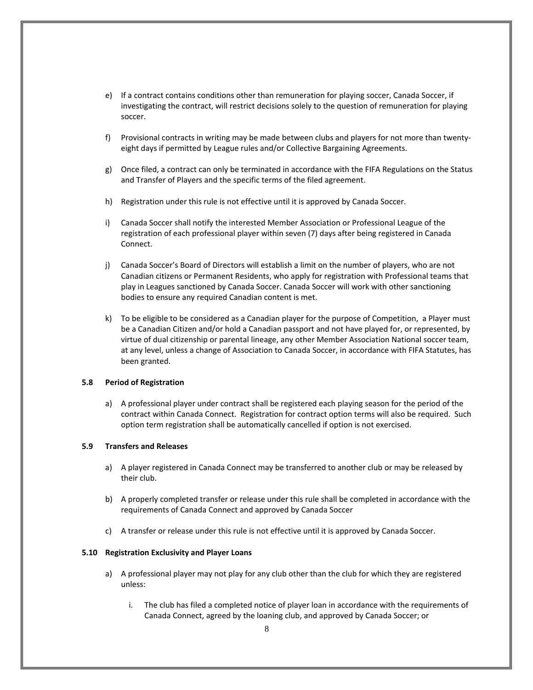- e) If a contract contains conditions other than remuneration for playing soccer, Canada Soccer, if investigating the contract, will restrict decisions solely to the question of remuneration for playing soccer.
- f) Provisional contracts in writing may be made between clubs and players for not more than twentyeight days if permitted by League rules and/or Collective Bargaining Agreements.
- g) Once filed, a contract can only be terminated in accordance with the FIFA Regulations on the Status and Transfer of Players and the specific terms of the filed agreement.
- h) Registration under this rule is not effective until it is approved by Canada Soccer.
- i) Canada Soccer shall notify the interested Member Association or Professional League of the registration of each professional player within seven (7) days after being registered in Canada Connect.
- j) Canada Soccer's Board of Directors will establish a limit on the number of players, who are not Canadian citizens or Permanent Residents, who apply for registration with Professional teams that play in Leagues sanctioned by Canada Soccer. Canada Soccer will work with other sanctioning bodies to ensure any required Canadian content is met.
- k) To be eligible to be considered as a Canadian player for the purpose of Competition, a Player must be a Canadian Citizen and/or hold a Canadian passport and not have played for, or represented, by virtue of dual citizenship or parental lineage, any other Member Association National soccer team, at any level, unless a change of Association to Canada Soccer, in accordance with FIFA Statutes, has been granted.

#### **5.8 Period of Registration**

a) A professional player under contract shall be registered each playing season for the period of the contract within Canada Connect. Registration for contract option terms will also be required. Such option term registration shall be automatically cancelled if option is not exercised.

## **5.9 Transfers and Releases**

- a) A player registered in Canada Connect may be transferred to another club or may be released by their club.
- b) A properly completed transfer or release under this rule shall be completed in accordance with the requirements of Canada Connect and approved by Canada Soccer
- c) A transfer or release under this rule is not effective until it is approved by Canada Soccer.

## **5.10 Registration Exclusivity and Player Loans**

- a) A professional player may not play for any club other than the club for which they are registered unless:
	- i. The club has filed a completed notice of player loan in accordance with the requirements of Canada Connect, agreed by the loaning club, and approved by Canada Soccer; or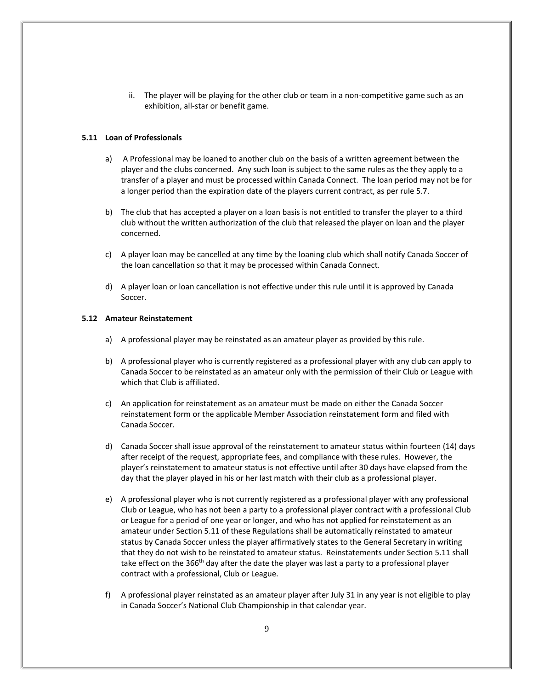ii. The player will be playing for the other club or team in a non-competitive game such as an exhibition, all-star or benefit game.

## **5.11 Loan of Professionals**

- a) A Professional may be loaned to another club on the basis of a written agreement between the player and the clubs concerned. Any such loan is subject to the same rules as the they apply to a transfer of a player and must be processed within Canada Connect. The loan period may not be for a longer period than the expiration date of the players current contract, as per rule 5.7.
- b) The club that has accepted a player on a loan basis is not entitled to transfer the player to a third club without the written authorization of the club that released the player on loan and the player concerned.
- c) A player loan may be cancelled at any time by the loaning club which shall notify Canada Soccer of the loan cancellation so that it may be processed within Canada Connect.
- d) A player loan or loan cancellation is not effective under this rule until it is approved by Canada Soccer.

#### **5.12 Amateur Reinstatement**

- a) A professional player may be reinstated as an amateur player as provided by this rule.
- b) A professional player who is currently registered as a professional player with any club can apply to Canada Soccer to be reinstated as an amateur only with the permission of their Club or League with which that Club is affiliated.
- c) An application for reinstatement as an amateur must be made on either the Canada Soccer reinstatement form or the applicable Member Association reinstatement form and filed with Canada Soccer.
- d) Canada Soccer shall issue approval of the reinstatement to amateur status within fourteen (14) days after receipt of the request, appropriate fees, and compliance with these rules. However, the player's reinstatement to amateur status is not effective until after 30 days have elapsed from the day that the player played in his or her last match with their club as a professional player.
- e) A professional player who is not currently registered as a professional player with any professional Club or League, who has not been a party to a professional player contract with a professional Club or League for a period of one year or longer, and who has not applied for reinstatement as an amateur under Section 5.11 of these Regulations shall be automatically reinstated to amateur status by Canada Soccer unless the player affirmatively states to the General Secretary in writing that they do not wish to be reinstated to amateur status. Reinstatements under Section 5.11 shall take effect on the 366<sup>th</sup> day after the date the player was last a party to a professional player contract with a professional, Club or League.
- f) A professional player reinstated as an amateur player after July 31 in any year is not eligible to play in Canada Soccer's National Club Championship in that calendar year.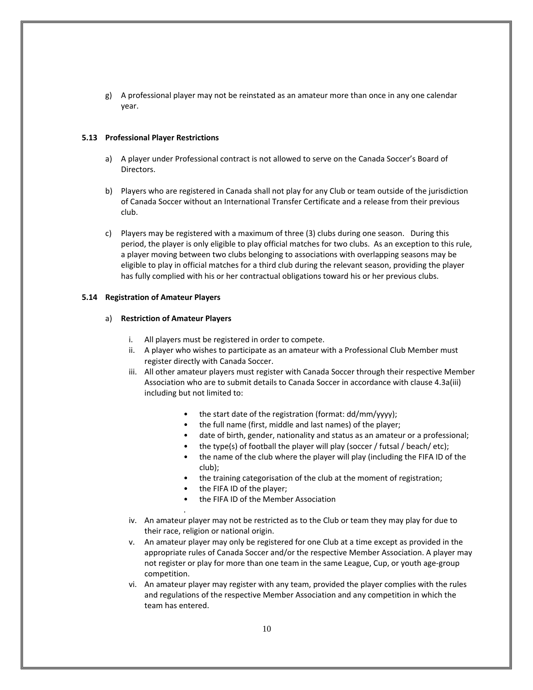g) A professional player may not be reinstated as an amateur more than once in any one calendar year.

## **5.13 Professional Player Restrictions**

- a) A player under Professional contract is not allowed to serve on the Canada Soccer's Board of Directors.
- b) Players who are registered in Canada shall not play for any Club or team outside of the jurisdiction of Canada Soccer without an International Transfer Certificate and a release from their previous club.
- c) Players may be registered with a maximum of three (3) clubs during one season. During this period, the player is only eligible to play official matches for two clubs. As an exception to this rule, a player moving between two clubs belonging to associations with overlapping seasons may be eligible to play in official matches for a third club during the relevant season, providing the player has fully complied with his or her contractual obligations toward his or her previous clubs.

## **5.14 Registration of Amateur Players**

## a) **Restriction of Amateur Players**

.

- i. All players must be registered in order to compete.
- ii. A player who wishes to participate as an amateur with a Professional Club Member must register directly with Canada Soccer.
- iii. All other amateur players must register with Canada Soccer through their respective Member Association who are to submit details to Canada Soccer in accordance with clause 4.3a(iii) including but not limited to:
	- the start date of the registration (format: dd/mm/yyyy);
	- the full name (first, middle and last names) of the player;
	- date of birth, gender, nationality and status as an amateur or a professional;
	- the type(s) of football the player will play (soccer / futsal / beach/ etc);
	- the name of the club where the player will play (including the FIFA ID of the club);
	- the training categorisation of the club at the moment of registration;
	- the FIFA ID of the player;
	- the FIFA ID of the Member Association
- iv. An amateur player may not be restricted as to the Club or team they may play for due to their race, religion or national origin.
- v. An amateur player may only be registered for one Club at a time except as provided in the appropriate rules of Canada Soccer and/or the respective Member Association. A player may not register or play for more than one team in the same League, Cup, or youth age-group competition.
- vi. An amateur player may register with any team, provided the player complies with the rules and regulations of the respective Member Association and any competition in which the team has entered.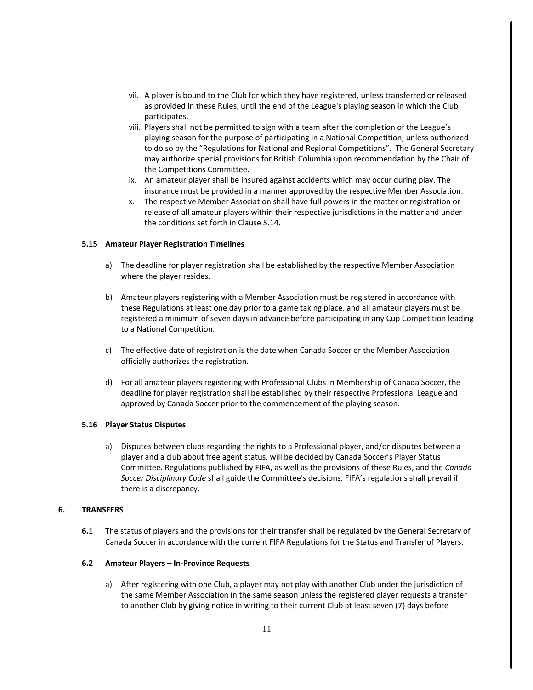- vii. A player is bound to the Club for which they have registered, unless transferred or released as provided in these Rules, until the end of the League's playing season in which the Club participates.
- viii. Players shall not be permitted to sign with a team after the completion of the League's playing season for the purpose of participating in a National Competition, unless authorized to do so by the "Regulations for National and Regional Competitions". The General Secretary may authorize special provisions for British Columbia upon recommendation by the Chair of the Competitions Committee.
- ix. An amateur player shall be insured against accidents which may occur during play. The insurance must be provided in a manner approved by the respective Member Association.
- x. The respective Member Association shall have full powers in the matter or registration or release of all amateur players within their respective jurisdictions in the matter and under the conditions set forth in Clause 5.14.

## **5.15 Amateur Player Registration Timelines**

- a) The deadline for player registration shall be established by the respective Member Association where the player resides.
- b) Amateur players registering with a Member Association must be registered in accordance with these Regulations at least one day prior to a game taking place, and all amateur players must be registered a minimum of seven days in advance before participating in any Cup Competition leading to a National Competition.
- c) The effective date of registration is the date when Canada Soccer or the Member Association officially authorizes the registration.
- d) For all amateur players registering with Professional Clubs in Membership of Canada Soccer, the deadline for player registration shall be established by their respective Professional League and approved by Canada Soccer prior to the commencement of the playing season.

## **5.16 Player Status Disputes**

a) Disputes between clubs regarding the rights to a Professional player, and/or disputes between a player and a club about free agent status, will be decided by Canada Soccer's Player Status Committee. Regulations published by FIFA, as well as the provisions of these Rules, and the *Canada Soccer Disciplinary Code* shall guide the Committee's decisions. FIFA's regulations shall prevail if there is a discrepancy.

## <span id="page-10-0"></span>**6. TRANSFERS**

**6.1** The status of players and the provisions for their transfer shall be regulated by the General Secretary of Canada Soccer in accordance with the current FIFA Regulations for the Status and Transfer of Players.

#### **6.2 Amateur Players – In-Province Requests**

a) After registering with one Club, a player may not play with another Club under the jurisdiction of the same Member Association in the same season unless the registered player requests a transfer to another Club by giving notice in writing to their current Club at least seven (7) days before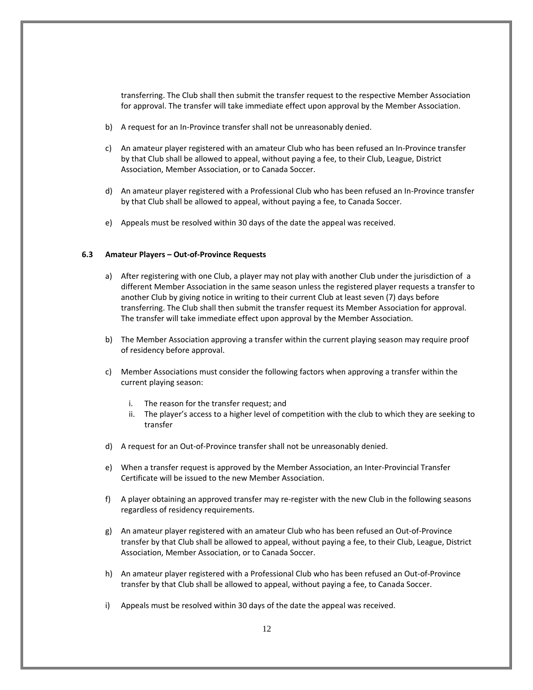transferring. The Club shall then submit the transfer request to the respective Member Association for approval. The transfer will take immediate effect upon approval by the Member Association.

- b) A request for an In-Province transfer shall not be unreasonably denied.
- c) An amateur player registered with an amateur Club who has been refused an In-Province transfer by that Club shall be allowed to appeal, without paying a fee, to their Club, League, District Association, Member Association, or to Canada Soccer.
- d) An amateur player registered with a Professional Club who has been refused an In-Province transfer by that Club shall be allowed to appeal, without paying a fee, to Canada Soccer.
- e) Appeals must be resolved within 30 days of the date the appeal was received.

## **6.3 Amateur Players – Out-of-Province Requests**

- a) After registering with one Club, a player may not play with another Club under the jurisdiction of a different Member Association in the same season unless the registered player requests a transfer to another Club by giving notice in writing to their current Club at least seven (7) days before transferring. The Club shall then submit the transfer request its Member Association for approval. The transfer will take immediate effect upon approval by the Member Association.
- b) The Member Association approving a transfer within the current playing season may require proof of residency before approval.
- c) Member Associations must consider the following factors when approving a transfer within the current playing season:
	- i. The reason for the transfer request; and
	- ii. The player's access to a higher level of competition with the club to which they are seeking to transfer
- d) A request for an Out-of-Province transfer shall not be unreasonably denied.
- e) When a transfer request is approved by the Member Association, an Inter-Provincial Transfer Certificate will be issued to the new Member Association.
- f) A player obtaining an approved transfer may re-register with the new Club in the following seasons regardless of residency requirements.
- g) An amateur player registered with an amateur Club who has been refused an Out-of-Province transfer by that Club shall be allowed to appeal, without paying a fee, to their Club, League, District Association, Member Association, or to Canada Soccer.
- h) An amateur player registered with a Professional Club who has been refused an Out-of-Province transfer by that Club shall be allowed to appeal, without paying a fee, to Canada Soccer.
- i) Appeals must be resolved within 30 days of the date the appeal was received.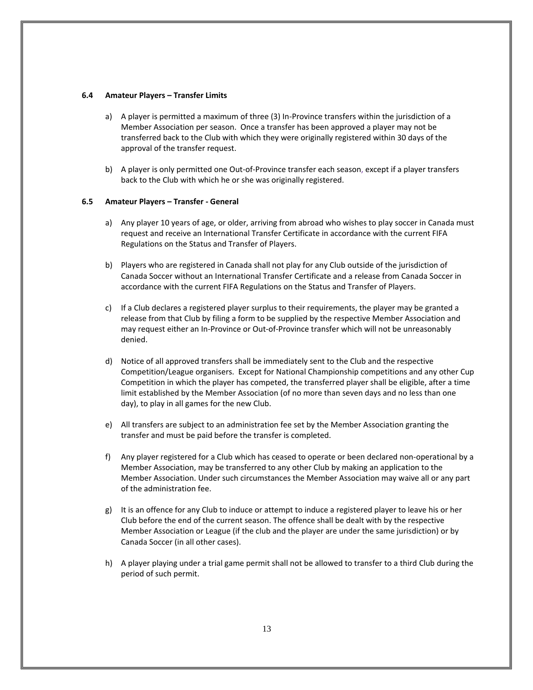#### **6.4 Amateur Players – Transfer Limits**

- a) A player is permitted a maximum of three (3) In-Province transfers within the jurisdiction of a Member Association per season. Once a transfer has been approved a player may not be transferred back to the Club with which they were originally registered within 30 days of the approval of the transfer request.
- b) A player is only permitted one Out-of-Province transfer each season, except if a player transfers back to the Club with which he or she was originally registered.

## **6.5 Amateur Players – Transfer - General**

- a) Any player 10 years of age, or older, arriving from abroad who wishes to play soccer in Canada must request and receive an International Transfer Certificate in accordance with the current FIFA Regulations on the Status and Transfer of Players.
- b) Players who are registered in Canada shall not play for any Club outside of the jurisdiction of Canada Soccer without an International Transfer Certificate and a release from Canada Soccer in accordance with the current FIFA Regulations on the Status and Transfer of Players.
- c) If a Club declares a registered player surplus to their requirements, the player may be granted a release from that Club by filing a form to be supplied by the respective Member Association and may request either an In-Province or Out-of-Province transfer which will not be unreasonably denied.
- d) Notice of all approved transfers shall be immediately sent to the Club and the respective Competition/League organisers. Except for National Championship competitions and any other Cup Competition in which the player has competed, the transferred player shall be eligible, after a time limit established by the Member Association (of no more than seven days and no less than one day), to play in all games for the new Club.
- e) All transfers are subject to an administration fee set by the Member Association granting the transfer and must be paid before the transfer is completed.
- f) Any player registered for a Club which has ceased to operate or been declared non-operational by a Member Association, may be transferred to any other Club by making an application to the Member Association. Under such circumstances the Member Association may waive all or any part of the administration fee.
- g) It is an offence for any Club to induce or attempt to induce a registered player to leave his or her Club before the end of the current season. The offence shall be dealt with by the respective Member Association or League (if the club and the player are under the same jurisdiction) or by Canada Soccer (in all other cases).
- h) A player playing under a trial game permit shall not be allowed to transfer to a third Club during the period of such permit.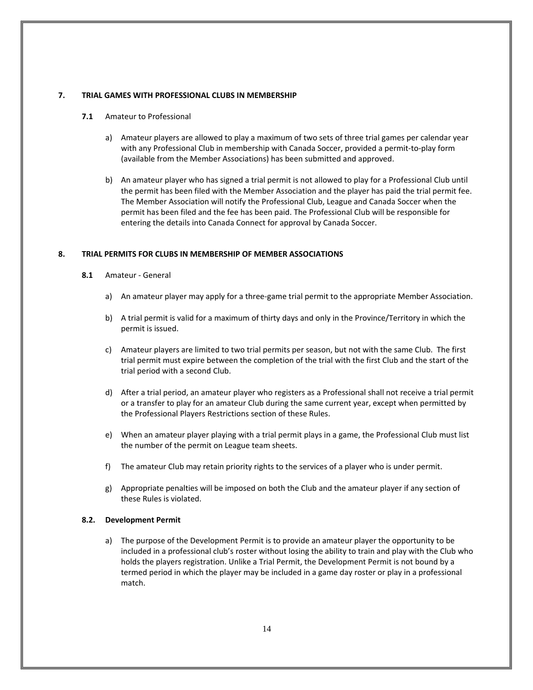## <span id="page-13-0"></span>**7. TRIAL GAMES WITH PROFESSIONAL CLUBS IN MEMBERSHIP**

- **7.1** Amateur to Professional
	- a) Amateur players are allowed to play a maximum of two sets of three trial games per calendar year with any Professional Club in membership with Canada Soccer, provided a permit-to-play form (available from the Member Associations) has been submitted and approved.
	- b) An amateur player who has signed a trial permit is not allowed to play for a Professional Club until the permit has been filed with the Member Association and the player has paid the trial permit fee. The Member Association will notify the Professional Club, League and Canada Soccer when the permit has been filed and the fee has been paid. The Professional Club will be responsible for entering the details into Canada Connect for approval by Canada Soccer.

## <span id="page-13-1"></span>**8. TRIAL PERMITS FOR CLUBS IN MEMBERSHIP OF MEMBER ASSOCIATIONS**

- **8.1** Amateur General
	- a) An amateur player may apply for a three-game trial permit to the appropriate Member Association.
	- b) A trial permit is valid for a maximum of thirty days and only in the Province/Territory in which the permit is issued.
	- c) Amateur players are limited to two trial permits per season, but not with the same Club. The first trial permit must expire between the completion of the trial with the first Club and the start of the trial period with a second Club.
	- d) After a trial period, an amateur player who registers as a Professional shall not receive a trial permit or a transfer to play for an amateur Club during the same current year, except when permitted by the Professional Players Restrictions section of these Rules.
	- e) When an amateur player playing with a trial permit plays in a game, the Professional Club must list the number of the permit on League team sheets.
	- f) The amateur Club may retain priority rights to the services of a player who is under permit.
	- g) Appropriate penalties will be imposed on both the Club and the amateur player if any section of these Rules is violated.

## **8.2. Development Permit**

a) The purpose of the Development Permit is to provide an amateur player the opportunity to be included in a professional club's roster without losing the ability to train and play with the Club who holds the players registration. Unlike a Trial Permit, the Development Permit is not bound by a termed period in which the player may be included in a game day roster or play in a professional match.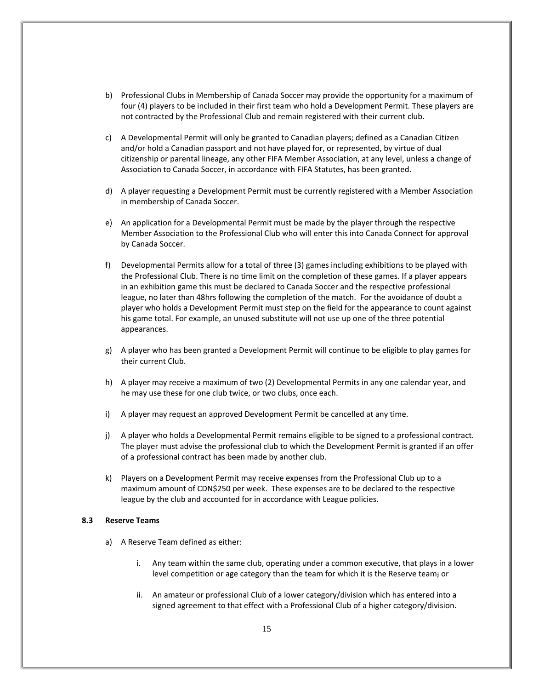- b) Professional Clubs in Membership of Canada Soccer may provide the opportunity for a maximum of four (4) players to be included in their first team who hold a Development Permit. These players are not contracted by the Professional Club and remain registered with their current club.
- c) A Developmental Permit will only be granted to Canadian players; defined as a Canadian Citizen and/or hold a Canadian passport and not have played for, or represented, by virtue of dual citizenship or parental lineage, any other FIFA Member Association, at any level, unless a change of Association to Canada Soccer, in accordance with FIFA Statutes, has been granted.
- d) A player requesting a Development Permit must be currently registered with a Member Association in membership of Canada Soccer.
- e) An application for a Developmental Permit must be made by the player through the respective Member Association to the Professional Club who will enter this into Canada Connect for approval by Canada Soccer.
- f) Developmental Permits allow for a total of three (3) games including exhibitions to be played with the Professional Club. There is no time limit on the completion of these games. If a player appears in an exhibition game this must be declared to Canada Soccer and the respective professional league, no later than 48hrs following the completion of the match. For the avoidance of doubt a player who holds a Development Permit must step on the field for the appearance to count against his game total. For example, an unused substitute will not use up one of the three potential appearances.
- g) A player who has been granted a Development Permit will continue to be eligible to play games for their current Club.
- h) A player may receive a maximum of two (2) Developmental Permits in any one calendar year, and he may use these for one club twice, or two clubs, once each.
- i) A player may request an approved Development Permit be cancelled at any time.
- j) A player who holds a Developmental Permit remains eligible to be signed to a professional contract. The player must advise the professional club to which the Development Permit is granted if an offer of a professional contract has been made by another club.
- k) Players on a Development Permit may receive expenses from the Professional Club up to a maximum amount of CDN\$250 per week. These expenses are to be declared to the respective league by the club and accounted for in accordance with League policies.

## **8.3 Reserve Teams**

- a) A Reserve Team defined as either:
	- i. Any team within the same club, operating under a common executive, that plays in a lower level competition or age category than the team for which it is the Reserve team; or
	- ii. An amateur or professional Club of a lower category/division which has entered into a signed agreement to that effect with a Professional Club of a higher category/division.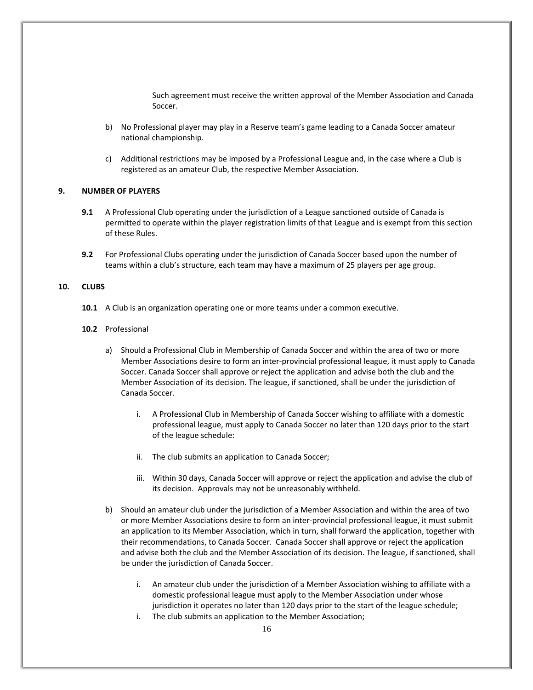Such agreement must receive the written approval of the Member Association and Canada Soccer.

- b) No Professional player may play in a Reserve team's game leading to a Canada Soccer amateur national championship.
- c) Additional restrictions may be imposed by a Professional League and, in the case where a Club is registered as an amateur Club, the respective Member Association.

## <span id="page-15-0"></span>**9. NUMBER OF PLAYERS**

- **9.1** A Professional Club operating under the jurisdiction of a League sanctioned outside of Canada is permitted to operate within the player registration limits of that League and is exempt from this section of these Rules.
- **9.2** For Professional Clubs operating under the jurisdiction of Canada Soccer based upon the number of teams within a club's structure, each team may have a maximum of 25 players per age group.

## <span id="page-15-1"></span>**10. CLUBS**

- **10.1** A Club is an organization operating one or more teams under a common executive.
- **10.2** Professional
	- a) Should a Professional Club in Membership of Canada Soccer and within the area of two or more Member Associations desire to form an inter-provincial professional league, it must apply to Canada Soccer. Canada Soccer shall approve or reject the application and advise both the club and the Member Association of its decision. The league, if sanctioned, shall be under the jurisdiction of Canada Soccer.
		- i. A Professional Club in Membership of Canada Soccer wishing to affiliate with a domestic professional league, must apply to Canada Soccer no later than 120 days prior to the start of the league schedule:
		- ii. The club submits an application to Canada Soccer;
		- iii. Within 30 days, Canada Soccer will approve or reject the application and advise the club of its decision. Approvals may not be unreasonably withheld.
	- b) Should an amateur club under the jurisdiction of a Member Association and within the area of two or more Member Associations desire to form an inter-provincial professional league, it must submit an application to its Member Association, which in turn, shall forward the application, together with their recommendations, to Canada Soccer. Canada Soccer shall approve or reject the application and advise both the club and the Member Association of its decision. The league, if sanctioned, shall be under the jurisdiction of Canada Soccer.
		- i. An amateur club under the jurisdiction of a Member Association wishing to affiliate with a domestic professional league must apply to the Member Association under whose jurisdiction it operates no later than 120 days prior to the start of the league schedule;
		- i. The club submits an application to the Member Association;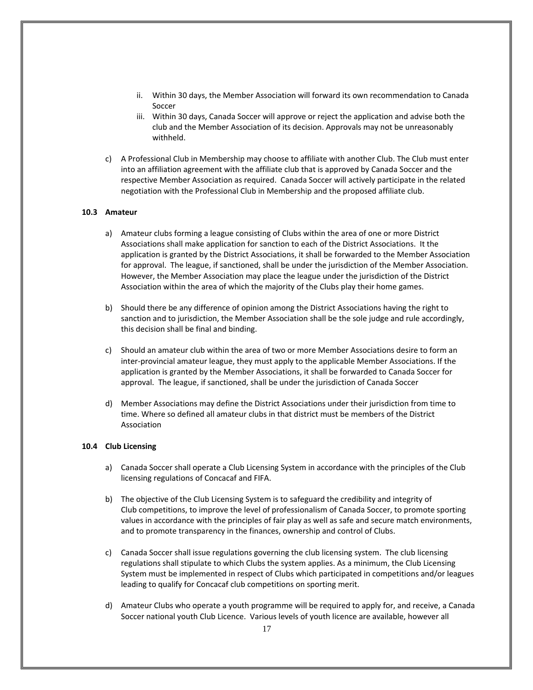- ii. Within 30 days, the Member Association will forward its own recommendation to Canada Soccer
- iii. Within 30 days, Canada Soccer will approve or reject the application and advise both the club and the Member Association of its decision. Approvals may not be unreasonably withheld.
- c) A Professional Club in Membership may choose to affiliate with another Club. The Club must enter into an affiliation agreement with the affiliate club that is approved by Canada Soccer and the respective Member Association as required. Canada Soccer will actively participate in the related negotiation with the Professional Club in Membership and the proposed affiliate club.

## **10.3 Amateur**

- a) Amateur clubs forming a league consisting of Clubs within the area of one or more District Associations shall make application for sanction to each of the District Associations. It the application is granted by the District Associations, it shall be forwarded to the Member Association for approval. The league, if sanctioned, shall be under the jurisdiction of the Member Association. However, the Member Association may place the league under the jurisdiction of the District Association within the area of which the majority of the Clubs play their home games.
- b) Should there be any difference of opinion among the District Associations having the right to sanction and to jurisdiction, the Member Association shall be the sole judge and rule accordingly, this decision shall be final and binding.
- c) Should an amateur club within the area of two or more Member Associations desire to form an inter-provincial amateur league, they must apply to the applicable Member Associations. If the application is granted by the Member Associations, it shall be forwarded to Canada Soccer for approval. The league, if sanctioned, shall be under the jurisdiction of Canada Soccer
- d) Member Associations may define the District Associations under their jurisdiction from time to time. Where so defined all amateur clubs in that district must be members of the District Association

## **10.4 Club Licensing**

- a) Canada Soccer shall operate a Club Licensing System in accordance with the principles of the Club licensing regulations of Concacaf and FIFA.
- b) The objective of the Club Licensing System is to safeguard the credibility and integrity of Club competitions, to improve the level of professionalism of Canada Soccer, to promote sporting values in accordance with the principles of fair play as well as safe and secure match environments, and to promote transparency in the finances, ownership and control of Clubs.
- c) Canada Soccer shall issue regulations governing the club licensing system. The club licensing regulations shall stipulate to which Clubs the system applies. As a minimum, the Club Licensing System must be implemented in respect of Clubs which participated in competitions and/or leagues leading to qualify for Concacaf club competitions on sporting merit.
- d) Amateur Clubs who operate a youth programme will be required to apply for, and receive, a Canada Soccer national youth Club Licence. Various levels of youth licence are available, however all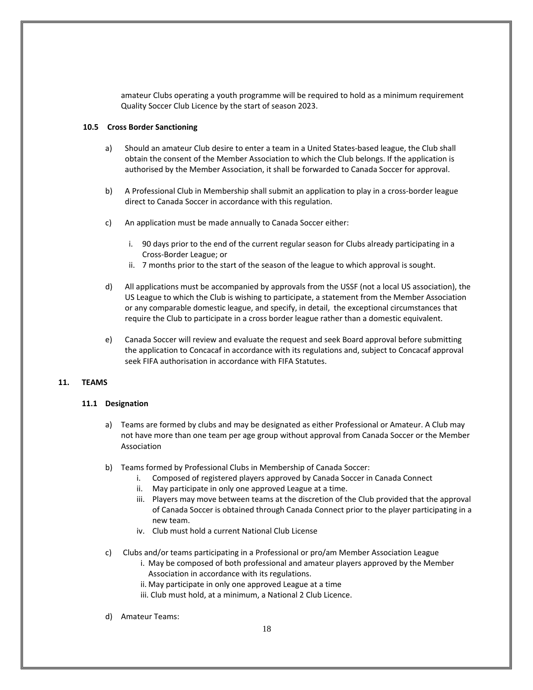amateur Clubs operating a youth programme will be required to hold as a minimum requirement Quality Soccer Club Licence by the start of season 2023.

## **10.5 Cross Border Sanctioning**

- a) Should an amateur Club desire to enter a team in a United States-based league, the Club shall obtain the consent of the Member Association to which the Club belongs. If the application is authorised by the Member Association, it shall be forwarded to Canada Soccer for approval.
- b) A Professional Club in Membership shall submit an application to play in a cross-border league direct to Canada Soccer in accordance with this regulation.
- c) An application must be made annually to Canada Soccer either:
	- i. 90 days prior to the end of the current regular season for Clubs already participating in a Cross-Border League; or
	- ii. 7 months prior to the start of the season of the league to which approval is sought.
- d) All applications must be accompanied by approvals from the USSF (not a local US association), the US League to which the Club is wishing to participate, a statement from the Member Association or any comparable domestic league, and specify, in detail, the exceptional circumstances that require the Club to participate in a cross border league rather than a domestic equivalent.
- e) Canada Soccer will review and evaluate the request and seek Board approval before submitting the application to Concacaf in accordance with its regulations and, subject to Concacaf approval seek FIFA authorisation in accordance with FIFA Statutes.

## <span id="page-17-0"></span>**11. TEAMS**

## **11.1 Designation**

- a) Teams are formed by clubs and may be designated as either Professional or Amateur. A Club may not have more than one team per age group without approval from Canada Soccer or the Member Association
- b) Teams formed by Professional Clubs in Membership of Canada Soccer:
	- i. Composed of registered players approved by Canada Soccer in Canada Connect
	- ii. May participate in only one approved League at a time.
	- iii. Players may move between teams at the discretion of the Club provided that the approval of Canada Soccer is obtained through Canada Connect prior to the player participating in a new team.
	- iv. Club must hold a current National Club License
- c) Clubs and/or teams participating in a Professional or pro/am Member Association League
	- i. May be composed of both professional and amateur players approved by the Member Association in accordance with its regulations.
	- ii. May participate in only one approved League at a time
	- iii. Club must hold, at a minimum, a National 2 Club Licence.
- d) Amateur Teams: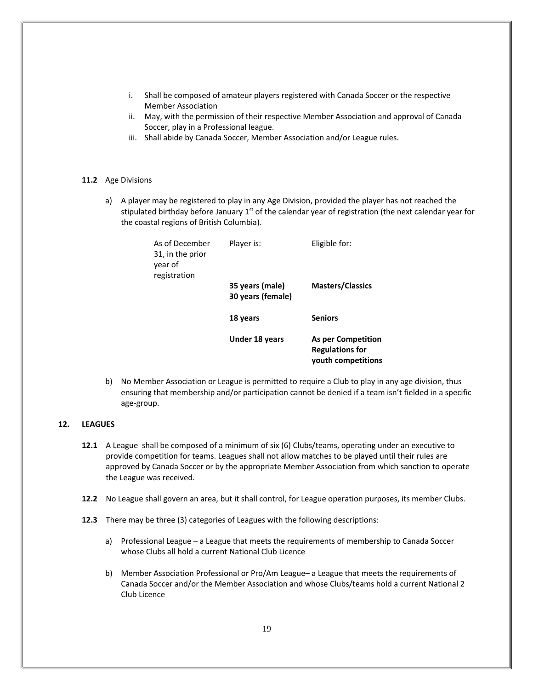- i. Shall be composed of amateur players registered with Canada Soccer or the respective Member Association
- ii. May, with the permission of their respective Member Association and approval of Canada Soccer, play in a Professional league.
- iii. Shall abide by Canada Soccer, Member Association and/or League rules.

## **11.2** Age Divisions

a) A player may be registered to play in any Age Division, provided the player has not reached the stipulated birthday before January  $1<sup>st</sup>$  of the calendar year of registration (the next calendar year for the coastal regions of British Columbia).

| As of December<br>31, in the prior<br>year of<br>registration | Player is:                           | Eligible for:                                                             |
|---------------------------------------------------------------|--------------------------------------|---------------------------------------------------------------------------|
|                                                               | 35 years (male)<br>30 years (female) | <b>Masters/Classics</b>                                                   |
|                                                               | 18 years                             | <b>Seniors</b>                                                            |
|                                                               | Under 18 years                       | <b>As per Competition</b><br><b>Regulations for</b><br>youth competitions |

b) No Member Association or League is permitted to require a Club to play in any age division, thus ensuring that membership and/or participation cannot be denied if a team isn't fielded in a specific age-group.

## <span id="page-18-0"></span>**12. LEAGUES**

- **12.1** A League shall be composed of a minimum of six (6) Clubs/teams, operating under an executive to provide competition for teams. Leagues shall not allow matches to be played until their rules are approved by Canada Soccer or by the appropriate Member Association from which sanction to operate the League was received.
- **12.2** No League shall govern an area, but it shall control, for League operation purposes, its member Clubs.
- **12.3** There may be three (3) categories of Leagues with the following descriptions:
	- a) Professional League a League that meets the requirements of membership to Canada Soccer whose Clubs all hold a current National Club Licence
	- b) Member Association Professional or Pro/Am League– a League that meets the requirements of Canada Soccer and/or the Member Association and whose Clubs/teams hold a current National 2 Club Licence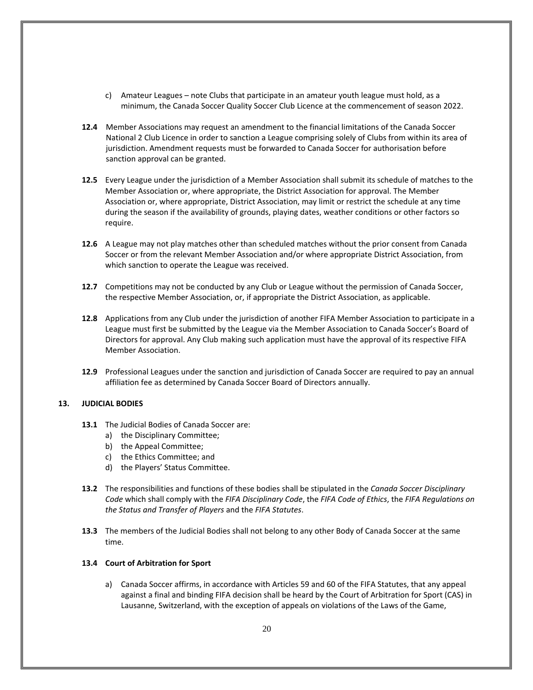- c) Amateur Leagues note Clubs that participate in an amateur youth league must hold, as a minimum, the Canada Soccer Quality Soccer Club Licence at the commencement of season 2022.
- **12.4** Member Associations may request an amendment to the financial limitations of the Canada Soccer National 2 Club Licence in order to sanction a League comprising solely of Clubs from within its area of jurisdiction. Amendment requests must be forwarded to Canada Soccer for authorisation before sanction approval can be granted.
- **12.5** Every League under the jurisdiction of a Member Association shall submit its schedule of matches to the Member Association or, where appropriate, the District Association for approval. The Member Association or, where appropriate, District Association, may limit or restrict the schedule at any time during the season if the availability of grounds, playing dates, weather conditions or other factors so require.
- **12.6** A League may not play matches other than scheduled matches without the prior consent from Canada Soccer or from the relevant Member Association and/or where appropriate District Association, from which sanction to operate the League was received.
- **12.7** Competitions may not be conducted by any Club or League without the permission of Canada Soccer, the respective Member Association, or, if appropriate the District Association, as applicable.
- **12.8** Applications from any Club under the jurisdiction of another FIFA Member Association to participate in a League must first be submitted by the League via the Member Association to Canada Soccer's Board of Directors for approval. Any Club making such application must have the approval of its respective FIFA Member Association.
- **12.9** Professional Leagues under the sanction and jurisdiction of Canada Soccer are required to pay an annual affiliation fee as determined by Canada Soccer Board of Directors annually.

## <span id="page-19-0"></span>**13. JUDICIAL BODIES**

- **13.1** The Judicial Bodies of Canada Soccer are:
	- a) the Disciplinary Committee;
	- b) the Appeal Committee;
	- c) the Ethics Committee; and
	- d) the Players' Status Committee.
- **13.2** The responsibilities and functions of these bodies shall be stipulated in the *Canada Soccer Disciplinary Code* which shall comply with the *FIFA Disciplinary Code*, the *FIFA Code of Ethics*, the *FIFA Regulations on the Status and Transfer of Players* and the *FIFA Statutes*.
- **13.3** The members of the Judicial Bodies shall not belong to any other Body of Canada Soccer at the same time.

#### **13.4 Court of Arbitration for Sport**

a) Canada Soccer affirms, in accordance with Articles 59 and 60 of the FIFA Statutes, that any appeal against a final and binding FIFA decision shall be heard by the Court of Arbitration for Sport (CAS) in Lausanne, Switzerland, with the exception of appeals on violations of the Laws of the Game,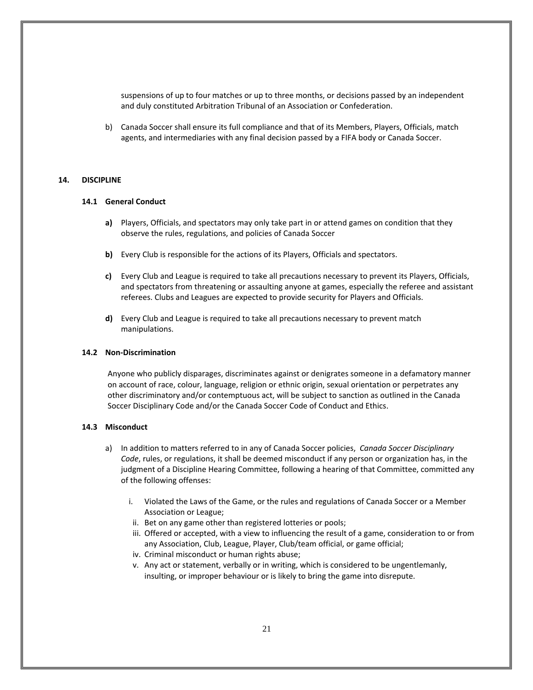suspensions of up to four matches or up to three months, or decisions passed by an independent and duly constituted Arbitration Tribunal of an Association or Confederation.

b) Canada Soccer shall ensure its full compliance and that of its Members, Players, Officials, match agents, and intermediaries with any final decision passed by a FIFA body or Canada Soccer.

## <span id="page-20-0"></span>**14. DISCIPLINE**

#### **14.1 General Conduct**

- **a)** Players, Officials, and spectators may only take part in or attend games on condition that they observe the rules, regulations, and policies of Canada Soccer
- **b)** Every Club is responsible for the actions of its Players, Officials and spectators.
- **c)** Every Club and League is required to take all precautions necessary to prevent its Players, Officials, and spectators from threatening or assaulting anyone at games, especially the referee and assistant referees. Clubs and Leagues are expected to provide security for Players and Officials.
- **d)** Every Club and League is required to take all precautions necessary to prevent match manipulations.

#### **14.2 Non-Discrimination**

Anyone who publicly disparages, discriminates against or denigrates someone in a defamatory manner on account of race, colour, language, religion or ethnic origin, sexual orientation or perpetrates any other discriminatory and/or contemptuous act, will be subject to sanction as outlined in the Canada Soccer Disciplinary Code and/or the Canada Soccer Code of Conduct and Ethics.

#### **14.3 Misconduct**

- a) In addition to matters referred to in any of Canada Soccer policies, *Canada Soccer Disciplinary Code*, rules, or regulations, it shall be deemed misconduct if any person or organization has, in the judgment of a Discipline Hearing Committee, following a hearing of that Committee, committed any of the following offenses:
	- i. Violated the Laws of the Game, or the rules and regulations of Canada Soccer or a Member Association or League;
	- ii. Bet on any game other than registered lotteries or pools;
	- iii. Offered or accepted, with a view to influencing the result of a game, consideration to or from any Association, Club, League, Player, Club/team official, or game official;
	- iv. Criminal misconduct or human rights abuse;
	- v. Any act or statement, verbally or in writing, which is considered to be ungentlemanly, insulting, or improper behaviour or is likely to bring the game into disrepute.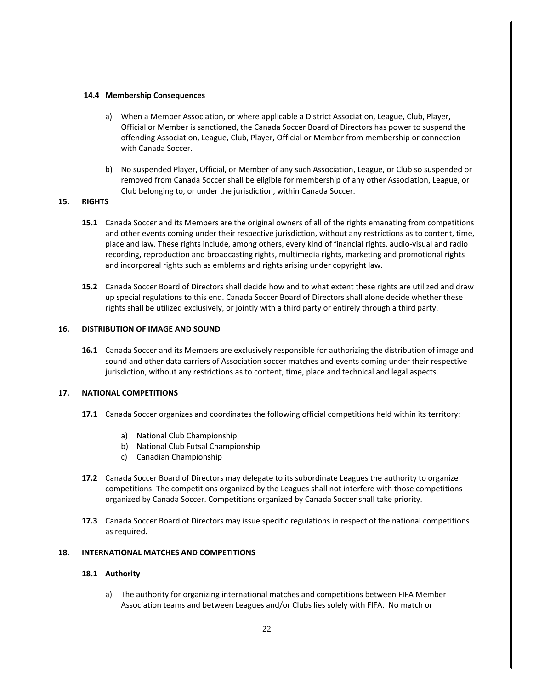## **14.4 Membership Consequences**

- a) When a Member Association, or where applicable a District Association, League, Club, Player, Official or Member is sanctioned, the Canada Soccer Board of Directors has power to suspend the offending Association, League, Club, Player, Official or Member from membership or connection with Canada Soccer.
- b) No suspended Player, Official, or Member of any such Association, League, or Club so suspended or removed from Canada Soccer shall be eligible for membership of any other Association, League, or Club belonging to, or under the jurisdiction, within Canada Soccer.

## <span id="page-21-0"></span>**15. RIGHTS**

- **15.1** Canada Soccer and its Members are the original owners of all of the rights emanating from competitions and other events coming under their respective jurisdiction, without any restrictions as to content, time, place and law. These rights include, among others, every kind of financial rights, audio-visual and radio recording, reproduction and broadcasting rights, multimedia rights, marketing and promotional rights and incorporeal rights such as emblems and rights arising under copyright law.
- **15.2** Canada Soccer Board of Directors shall decide how and to what extent these rights are utilized and draw up special regulations to this end. Canada Soccer Board of Directors shall alone decide whether these rights shall be utilized exclusively, or jointly with a third party or entirely through a third party.

## <span id="page-21-1"></span>**16. DISTRIBUTION OF IMAGE AND SOUND**

**16.1** Canada Soccer and its Members are exclusively responsible for authorizing the distribution of image and sound and other data carriers of Association soccer matches and events coming under their respective jurisdiction, without any restrictions as to content, time, place and technical and legal aspects.

## <span id="page-21-2"></span>**17. NATIONAL COMPETITIONS**

- **17.1** Canada Soccer organizes and coordinates the following official competitions held within its territory:
	- a) National Club Championship
	- b) National Club Futsal Championship
	- c) Canadian Championship
- **17.2** Canada Soccer Board of Directors may delegate to its subordinate Leagues the authority to organize competitions. The competitions organized by the Leagues shall not interfere with those competitions organized by Canada Soccer. Competitions organized by Canada Soccer shall take priority.
- **17.3** Canada Soccer Board of Directors may issue specific regulations in respect of the national competitions as required.

## <span id="page-21-3"></span>**18. INTERNATIONAL MATCHES AND COMPETITIONS**

## **18.1 Authority**

a) The authority for organizing international matches and competitions between FIFA Member Association teams and between Leagues and/or Clubs lies solely with FIFA. No match or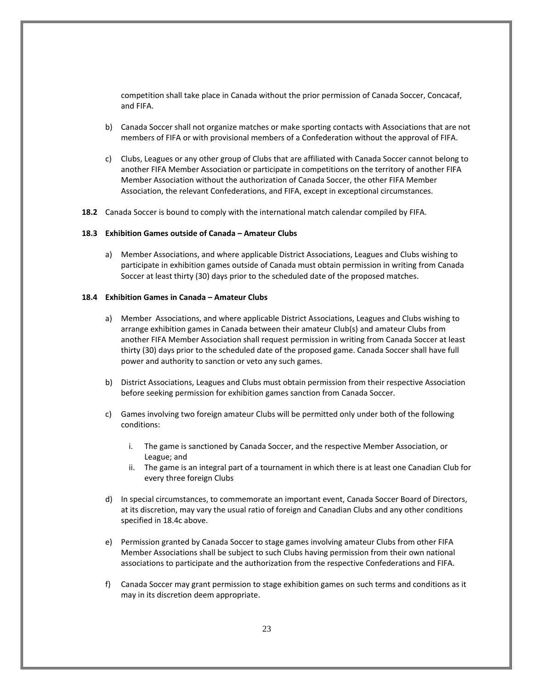competition shall take place in Canada without the prior permission of Canada Soccer, Concacaf, and FIFA.

- b) Canada Soccer shall not organize matches or make sporting contacts with Associations that are not members of FIFA or with provisional members of a Confederation without the approval of FIFA.
- c) Clubs, Leagues or any other group of Clubs that are affiliated with Canada Soccer cannot belong to another FIFA Member Association or participate in competitions on the territory of another FIFA Member Association without the authorization of Canada Soccer, the other FIFA Member Association, the relevant Confederations, and FIFA, except in exceptional circumstances.
- **18.2** Canada Soccer is bound to comply with the international match calendar compiled by FIFA.

#### **18.3 Exhibition Games outside of Canada – Amateur Clubs**

a) Member Associations, and where applicable District Associations, Leagues and Clubs wishing to participate in exhibition games outside of Canada must obtain permission in writing from Canada Soccer at least thirty (30) days prior to the scheduled date of the proposed matches.

## **18.4 Exhibition Games in Canada – Amateur Clubs**

- a) Member Associations, and where applicable District Associations, Leagues and Clubs wishing to arrange exhibition games in Canada between their amateur Club(s) and amateur Clubs from another FIFA Member Association shall request permission in writing from Canada Soccer at least thirty (30) days prior to the scheduled date of the proposed game. Canada Soccer shall have full power and authority to sanction or veto any such games.
- b) District Associations, Leagues and Clubs must obtain permission from their respective Association before seeking permission for exhibition games sanction from Canada Soccer.
- c) Games involving two foreign amateur Clubs will be permitted only under both of the following conditions:
	- i. The game is sanctioned by Canada Soccer, and the respective Member Association, or League; and
	- ii. The game is an integral part of a tournament in which there is at least one Canadian Club for every three foreign Clubs
- d) In special circumstances, to commemorate an important event, Canada Soccer Board of Directors, at its discretion, may vary the usual ratio of foreign and Canadian Clubs and any other conditions specified in 18.4c above.
- e) Permission granted by Canada Soccer to stage games involving amateur Clubs from other FIFA Member Associations shall be subject to such Clubs having permission from their own national associations to participate and the authorization from the respective Confederations and FIFA.
- f) Canada Soccer may grant permission to stage exhibition games on such terms and conditions as it may in its discretion deem appropriate.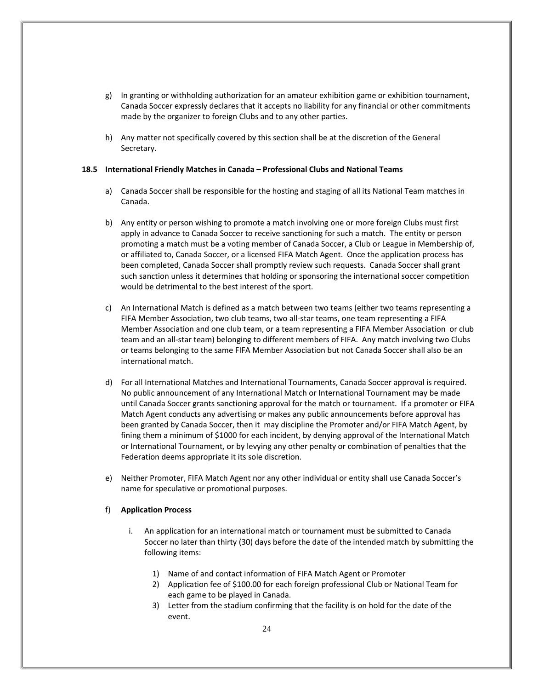- g) In granting or withholding authorization for an amateur exhibition game or exhibition tournament, Canada Soccer expressly declares that it accepts no liability for any financial or other commitments made by the organizer to foreign Clubs and to any other parties.
- h) Any matter not specifically covered by this section shall be at the discretion of the General Secretary.

#### **18.5 International Friendly Matches in Canada – Professional Clubs and National Teams**

- a) Canada Soccer shall be responsible for the hosting and staging of all its National Team matches in Canada.
- b) Any entity or person wishing to promote a match involving one or more foreign Clubs must first apply in advance to Canada Soccer to receive sanctioning for such a match. The entity or person promoting a match must be a voting member of Canada Soccer, a Club or League in Membership of, or affiliated to, Canada Soccer, or a licensed FIFA Match Agent. Once the application process has been completed, Canada Soccer shall promptly review such requests. Canada Soccer shall grant such sanction unless it determines that holding or sponsoring the international soccer competition would be detrimental to the best interest of the sport.
- c) An International Match is defined as a match between two teams (either two teams representing a FIFA Member Association, two club teams, two all-star teams, one team representing a FIFA Member Association and one club team, or a team representing a FIFA Member Association or club team and an all-star team) belonging to different members of FIFA. Any match involving two Clubs or teams belonging to the same FIFA Member Association but not Canada Soccer shall also be an international match.
- d) For all International Matches and International Tournaments, Canada Soccer approval is required. No public announcement of any International Match or International Tournament may be made until Canada Soccer grants sanctioning approval for the match or tournament. If a promoter or FIFA Match Agent conducts any advertising or makes any public announcements before approval has been granted by Canada Soccer, then it may discipline the Promoter and/or FIFA Match Agent, by fining them a minimum of \$1000 for each incident, by denying approval of the International Match or International Tournament, or by levying any other penalty or combination of penalties that the Federation deems appropriate it its sole discretion.
- e) Neither Promoter, FIFA Match Agent nor any other individual or entity shall use Canada Soccer's name for speculative or promotional purposes.

#### f) **Application Process**

- i. An application for an international match or tournament must be submitted to Canada Soccer no later than thirty (30) days before the date of the intended match by submitting the following items:
	- 1) Name of and contact information of FIFA Match Agent or Promoter
	- 2) Application fee of \$100.00 for each foreign professional Club or National Team for each game to be played in Canada.
	- 3) Letter from the stadium confirming that the facility is on hold for the date of the event.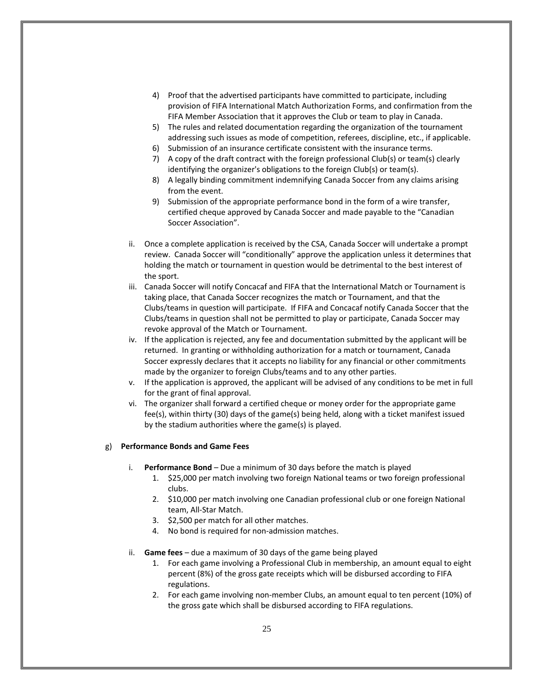- 4) Proof that the advertised participants have committed to participate, including provision of FIFA International Match Authorization Forms, and confirmation from the FIFA Member Association that it approves the Club or team to play in Canada.
- 5) The rules and related documentation regarding the organization of the tournament addressing such issues as mode of competition, referees, discipline, etc., if applicable.
- 6) Submission of an insurance certificate consistent with the insurance terms.
- 7) A copy of the draft contract with the foreign professional Club(s) or team(s) clearly identifying the organizer's obligations to the foreign Club(s) or team(s).
- 8) A legally binding commitment indemnifying Canada Soccer from any claims arising from the event.
- 9) Submission of the appropriate performance bond in the form of a wire transfer, certified cheque approved by Canada Soccer and made payable to the "Canadian Soccer Association".
- ii. Once a complete application is received by the CSA, Canada Soccer will undertake a prompt review. Canada Soccer will "conditionally" approve the application unless it determines that holding the match or tournament in question would be detrimental to the best interest of the sport.
- iii. Canada Soccer will notify Concacaf and FIFA that the International Match or Tournament is taking place, that Canada Soccer recognizes the match or Tournament, and that the Clubs/teams in question will participate. If FIFA and Concacaf notify Canada Soccer that the Clubs/teams in question shall not be permitted to play or participate, Canada Soccer may revoke approval of the Match or Tournament.
- iv. If the application is rejected, any fee and documentation submitted by the applicant will be returned. In granting or withholding authorization for a match or tournament, Canada Soccer expressly declares that it accepts no liability for any financial or other commitments made by the organizer to foreign Clubs/teams and to any other parties.
- v. If the application is approved, the applicant will be advised of any conditions to be met in full for the grant of final approval.
- vi. The organizer shall forward a certified cheque or money order for the appropriate game fee(s), within thirty (30) days of the game(s) being held, along with a ticket manifest issued by the stadium authorities where the game(s) is played.

## g) **Performance Bonds and Game Fees**

- i. **Performance Bond** Due a minimum of 30 days before the match is played
	- 1. \$25,000 per match involving two foreign National teams or two foreign professional clubs.
	- 2. \$10,000 per match involving one Canadian professional club or one foreign National team, All-Star Match.
	- 3. \$2,500 per match for all other matches.
	- 4. No bond is required for non-admission matches.
- ii. **Game fees** due a maximum of 30 days of the game being played
	- 1. For each game involving a Professional Club in membership, an amount equal to eight percent (8%) of the gross gate receipts which will be disbursed according to FIFA regulations.
	- 2. For each game involving non-member Clubs, an amount equal to ten percent (10%) of the gross gate which shall be disbursed according to FIFA regulations.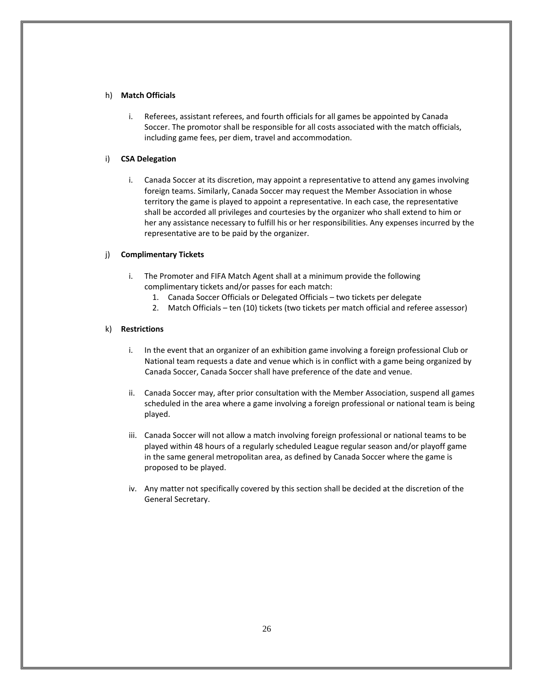## h) **Match Officials**

i. Referees, assistant referees, and fourth officials for all games be appointed by Canada Soccer. The promotor shall be responsible for all costs associated with the match officials, including game fees, per diem, travel and accommodation.

## i) **CSA Delegation**

i. Canada Soccer at its discretion, may appoint a representative to attend any games involving foreign teams. Similarly, Canada Soccer may request the Member Association in whose territory the game is played to appoint a representative. In each case, the representative shall be accorded all privileges and courtesies by the organizer who shall extend to him or her any assistance necessary to fulfill his or her responsibilities. Any expenses incurred by the representative are to be paid by the organizer.

## j) **Complimentary Tickets**

- i. The Promoter and FIFA Match Agent shall at a minimum provide the following complimentary tickets and/or passes for each match:
	- 1. Canada Soccer Officials or Delegated Officials two tickets per delegate
	- 2. Match Officials ten (10) tickets (two tickets per match official and referee assessor)

## k) **Restrictions**

- i. In the event that an organizer of an exhibition game involving a foreign professional Club or National team requests a date and venue which is in conflict with a game being organized by Canada Soccer, Canada Soccer shall have preference of the date and venue.
- ii. Canada Soccer may, after prior consultation with the Member Association, suspend all games scheduled in the area where a game involving a foreign professional or national team is being played.
- iii. Canada Soccer will not allow a match involving foreign professional or national teams to be played within 48 hours of a regularly scheduled League regular season and/or playoff game in the same general metropolitan area, as defined by Canada Soccer where the game is proposed to be played.
- iv. Any matter not specifically covered by this section shall be decided at the discretion of the General Secretary.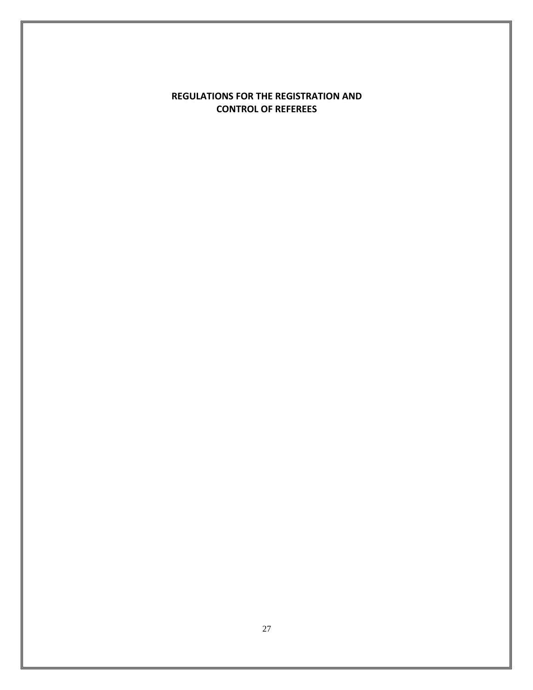## **REGULATIONS FOR THE REGISTRATION AND CONTROL OF REFEREES**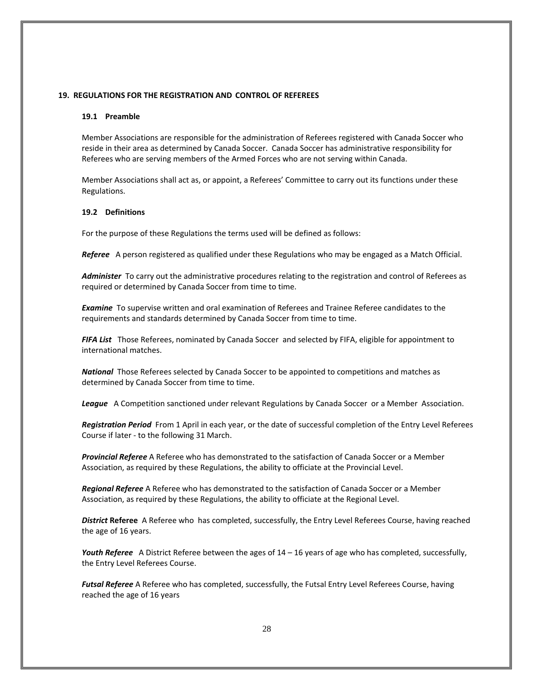## <span id="page-27-0"></span>**19. REGULATIONS FOR THE REGISTRATION AND CONTROL OF REFEREES**

#### **19.1 Preamble**

Member Associations are responsible for the administration of Referees registered with Canada Soccer who reside in their area as determined by Canada Soccer. Canada Soccer has administrative responsibility for Referees who are serving members of the Armed Forces who are not serving within Canada.

Member Associations shall act as, or appoint, a Referees' Committee to carry out its functions under these Regulations.

## **19.2 Definitions**

For the purpose of these Regulations the terms used will be defined as follows:

*Referee* A person registered as qualified under these Regulations who may be engaged as a Match Official.

*Administer* To carry out the administrative procedures relating to the registration and control of Referees as required or determined by Canada Soccer from time to time.

*Examine* To supervise written and oral examination of Referees and Trainee Referee candidates to the requirements and standards determined by Canada Soccer from time to time.

*FIFA List* Those Referees, nominated by Canada Soccer and selected by FIFA, eligible for appointment to international matches.

*National* Those Referees selected by Canada Soccer to be appointed to competitions and matches as determined by Canada Soccer from time to time.

*League* A Competition sanctioned under relevant Regulations by Canada Soccer or a Member Association.

*Registration Period* From 1 April in each year, or the date of successful completion of the Entry Level Referees Course if later - to the following 31 March.

*Provincial Referee* A Referee who has demonstrated to the satisfaction of Canada Soccer or a Member Association, as required by these Regulations, the ability to officiate at the Provincial Level.

*Regional Referee* A Referee who has demonstrated to the satisfaction of Canada Soccer or a Member Association, as required by these Regulations, the ability to officiate at the Regional Level.

*District* **Referee** A Referee who has completed, successfully, the Entry Level Referees Course, having reached the age of 16 years.

*Youth Referee* A District Referee between the ages of 14 – 16 years of age who has completed, successfully, the Entry Level Referees Course.

*Futsal Referee* A Referee who has completed, successfully, the Futsal Entry Level Referees Course, having reached the age of 16 years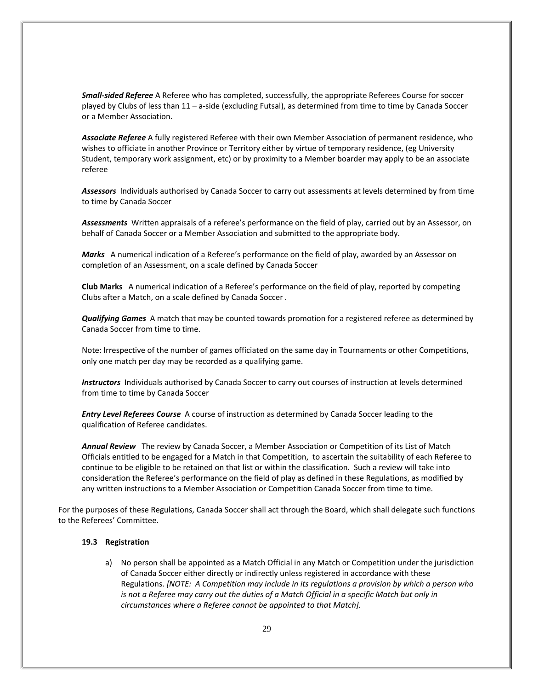*Small-sided Referee* A Referee who has completed, successfully, the appropriate Referees Course for soccer played by Clubs of less than 11 – a-side (excluding Futsal), as determined from time to time by Canada Soccer or a Member Association.

*Associate Referee* A fully registered Referee with their own Member Association of permanent residence, who wishes to officiate in another Province or Territory either by virtue of temporary residence, (eg University Student, temporary work assignment, etc) or by proximity to a Member boarder may apply to be an associate referee

*Assessors* Individuals authorised by Canada Soccer to carry out assessments at levels determined by from time to time by Canada Soccer

*Assessments* Written appraisals of a referee's performance on the field of play, carried out by an Assessor, on behalf of Canada Soccer or a Member Association and submitted to the appropriate body.

*Marks* A numerical indication of a Referee's performance on the field of play, awarded by an Assessor on completion of an Assessment, on a scale defined by Canada Soccer

**Club Marks** A numerical indication of a Referee's performance on the field of play, reported by competing Clubs after a Match, on a scale defined by Canada Soccer *.*

*Qualifying Games* A match that may be counted towards promotion for a registered referee as determined by Canada Soccer from time to time.

Note: Irrespective of the number of games officiated on the same day in Tournaments or other Competitions, only one match per day may be recorded as a qualifying game.

*Instructors* Individuals authorised by Canada Soccer to carry out courses of instruction at levels determined from time to time by Canada Soccer

*Entry Level Referees Course* A course of instruction as determined by Canada Soccer leading to the qualification of Referee candidates.

*Annual Review* The review by Canada Soccer, a Member Association or Competition of its List of Match Officials entitled to be engaged for a Match in that Competition, to ascertain the suitability of each Referee to continue to be eligible to be retained on that list or within the classification. Such a review will take into consideration the Referee's performance on the field of play as defined in these Regulations, as modified by any written instructions to a Member Association or Competition Canada Soccer from time to time.

For the purposes of these Regulations, Canada Soccer shall act through the Board, which shall delegate such functions to the Referees' Committee.

## **19.3 Registration**

a) No person shall be appointed as a Match Official in any Match or Competition under the jurisdiction of Canada Soccer either directly or indirectly unless registered in accordance with these Regulations. *[NOTE: A Competition may include in its regulations a provision by which a person who*  is not a Referee may carry out the duties of a Match Official in a specific Match but only in *circumstances where a Referee cannot be appointed to that Match].*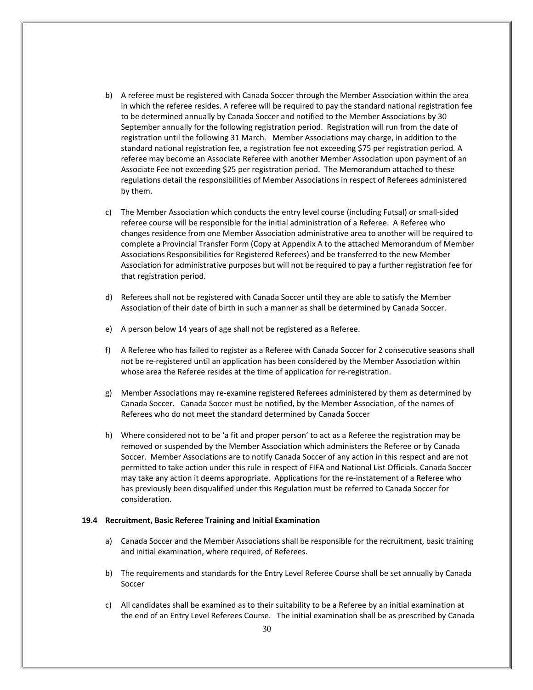- b) A referee must be registered with Canada Soccer through the Member Association within the area in which the referee resides. A referee will be required to pay the standard national registration fee to be determined annually by Canada Soccer and notified to the Member Associations by 30 September annually for the following registration period. Registration will run from the date of registration until the following 31 March. Member Associations may charge, in addition to the standard national registration fee, a registration fee not exceeding \$75 per registration period*.* A referee may become an Associate Referee with another Member Association upon payment of an Associate Fee not exceeding \$25 per registration period. The Memorandum attached to these regulations detail the responsibilities of Member Associations in respect of Referees administered by them.
- c) The Member Association which conducts the entry level course (including Futsal) or small-sided referee course will be responsible for the initial administration of a Referee. A Referee who changes residence from one Member Association administrative area to another will be required to complete a Provincial Transfer Form (Copy at Appendix A to the attached Memorandum of Member Associations Responsibilities for Registered Referees) and be transferred to the new Member Association for administrative purposes but will not be required to pay a further registration fee for that registration period.
- d) Referees shall not be registered with Canada Soccer until they are able to satisfy the Member Association of their date of birth in such a manner as shall be determined by Canada Soccer.
- e) A person below 14 years of age shall not be registered as a Referee.
- f) A Referee who has failed to register as a Referee with Canada Soccer for 2 consecutive seasons shall not be re-registered until an application has been considered by the Member Association within whose area the Referee resides at the time of application for re-registration.
- g) Member Associations may re-examine registered Referees administered by them as determined by Canada Soccer. Canada Soccer must be notified, by the Member Association, of the names of Referees who do not meet the standard determined by Canada Soccer
- h) Where considered not to be 'a fit and proper person' to act as a Referee the registration may be removed or suspended by the Member Association which administers the Referee or by Canada Soccer. Member Associations are to notify Canada Soccer of any action in this respect and are not permitted to take action under this rule in respect of FIFA and National List Officials. Canada Soccer may take any action it deems appropriate. Applications for the re-instatement of a Referee who has previously been disqualified under this Regulation must be referred to Canada Soccer for consideration.

#### **19.4 Recruitment, Basic Referee Training and Initial Examination**

- a) Canada Soccer and the Member Associations shall be responsible for the recruitment, basic training and initial examination, where required, of Referees.
- b) The requirements and standards for the Entry Level Referee Course shall be set annually by Canada Soccer
- c) All candidates shall be examined as to their suitability to be a Referee by an initial examination at the end of an Entry Level Referees Course. The initial examination shall be as prescribed by Canada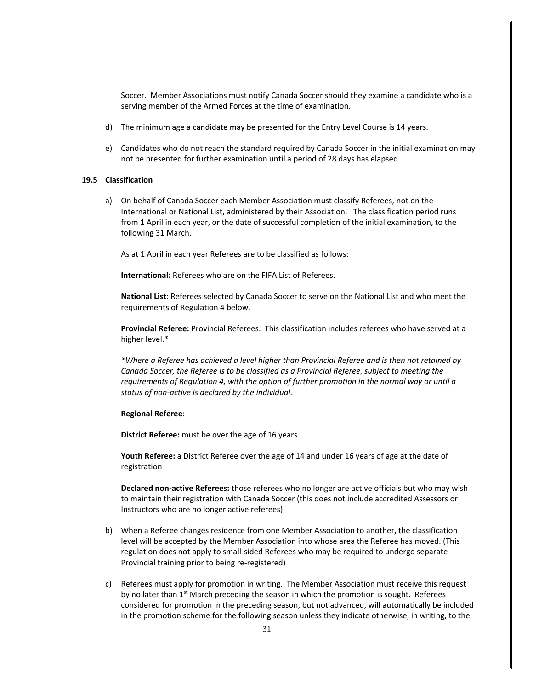Soccer. Member Associations must notify Canada Soccer should they examine a candidate who is a serving member of the Armed Forces at the time of examination.

- d) The minimum age a candidate may be presented for the Entry Level Course is 14 years.
- e) Candidates who do not reach the standard required by Canada Soccer in the initial examination may not be presented for further examination until a period of 28 days has elapsed.

## **19.5 Classification**

a) On behalf of Canada Soccer each Member Association must classify Referees, not on the International or National List, administered by their Association. The classification period runs from 1 April in each year, or the date of successful completion of the initial examination, to the following 31 March.

As at 1 April in each year Referees are to be classified as follows:

**International:** Referees who are on the FIFA List of Referees.

**National List:** Referees selected by Canada Soccer to serve on the National List and who meet the requirements of Regulation 4 below.

**Provincial Referee:** Provincial Referees. This classification includes referees who have served at a higher level.\*

*\*Where a Referee has achieved a level higher than Provincial Referee and is then not retained by Canada Soccer, the Referee is to be classified as a Provincial Referee, subject to meeting the requirements of Regulation 4, with the option of further promotion in the normal way or until a status of non-active is declared by the individual.*

#### **Regional Referee**:

**District Referee:** must be over the age of 16 years

**Youth Referee:** a District Referee over the age of 14 and under 16 years of age at the date of registration

**Declared non-active Referees:** those referees who no longer are active officials but who may wish to maintain their registration with Canada Soccer (this does not include accredited Assessors or Instructors who are no longer active referees)

- b) When a Referee changes residence from one Member Association to another, the classification level will be accepted by the Member Association into whose area the Referee has moved. (This regulation does not apply to small-sided Referees who may be required to undergo separate Provincial training prior to being re-registered)
- c) Referees must apply for promotion in writing. The Member Association must receive this request by no later than  $1<sup>st</sup>$  March preceding the season in which the promotion is sought. Referees considered for promotion in the preceding season, but not advanced, will automatically be included in the promotion scheme for the following season unless they indicate otherwise, in writing, to the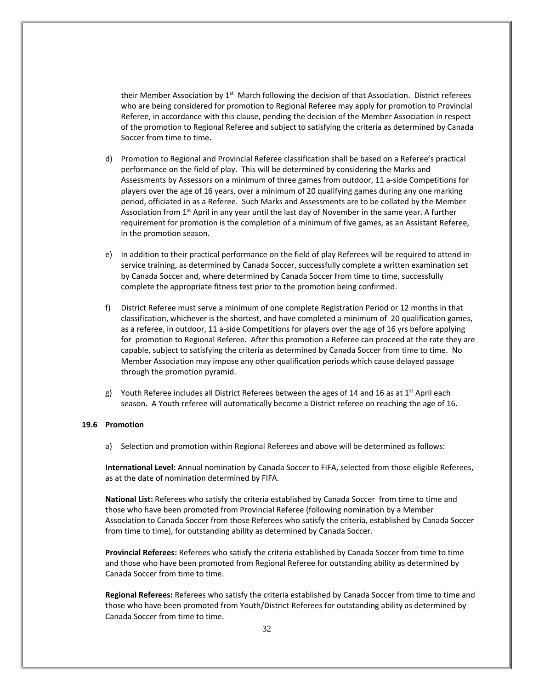their Member Association by 1<sup>st</sup> March following the decision of that Association. District referees who are being considered for promotion to Regional Referee may apply for promotion to Provincial Referee, in accordance with this clause, pending the decision of the Member Association in respect of the promotion to Regional Referee and subject to satisfying the criteria as determined by Canada Soccer from time to time**.**

- d) Promotion to Regional and Provincial Referee classification shall be based on a Referee's practical performance on the field of play. This will be determined by considering the Marks and Assessments by Assessors on a minimum of three games from outdoor, 11 a-side Competitions for players over the age of 16 years, over a minimum of 20 qualifying games during any one marking period, officiated in as a Referee. Such Marks and Assessments are to be collated by the Member Association from 1<sup>st</sup> April in any year until the last day of November in the same year. A further requirement for promotion is the completion of a minimum of five games, as an Assistant Referee, in the promotion season.
- e) In addition to their practical performance on the field of play Referees will be required to attend inservice training, as determined by Canada Soccer, successfully complete a written examination set by Canada Soccer and, where determined by Canada Soccer from time to time, successfully complete the appropriate fitness test prior to the promotion being confirmed.
- f) District Referee must serve a minimum of one complete Registration Period or 12 months in that classification, whichever is the shortest, and have completed a minimum of 20 qualification games, as a referee, in outdoor, 11 a-side Competitions for players over the age of 16 yrs before applying for promotion to Regional Referee. After this promotion a Referee can proceed at the rate they are capable, subject to satisfying the criteria as determined by Canada Soccer from time to time. No Member Association may impose any other qualification periods which cause delayed passage through the promotion pyramid.
- g) Youth Referee includes all District Referees between the ages of 14 and 16 as at 1<sup>st</sup> April each season. A Youth referee will automatically become a District referee on reaching the age of 16.

## **19.6 Promotion**

a) Selection and promotion within Regional Referees and above will be determined as follows:

**International Level:** Annual nomination by Canada Soccer to FIFA, selected from those eligible Referees, as at the date of nomination determined by FIFA.

**National List:** Referees who satisfy the criteria established by Canada Soccer from time to time and those who have been promoted from Provincial Referee (following nomination by a Member Association to Canada Soccer from those Referees who satisfy the criteria, established by Canada Soccer from time to time), for outstanding ability as determined by Canada Soccer.

**Provincial Referees:** Referees who satisfy the criteria established by Canada Soccer from time to time and those who have been promoted from Regional Referee for outstanding ability as determined by Canada Soccer from time to time.

**Regional Referees:** Referees who satisfy the criteria established by Canada Soccer from time to time and those who have been promoted from Youth/District Referees for outstanding ability as determined by Canada Soccer from time to time.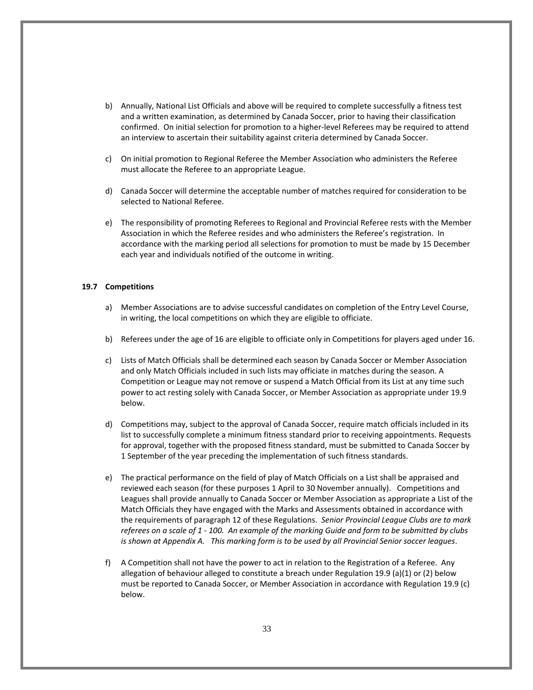- b) Annually, National List Officials and above will be required to complete successfully a fitness test and a written examination, as determined by Canada Soccer, prior to having their classification confirmed. On initial selection for promotion to a higher-level Referees may be required to attend an interview to ascertain their suitability against criteria determined by Canada Soccer.
- c) On initial promotion to Regional Referee the Member Association who administers the Referee must allocate the Referee to an appropriate League.
- d) Canada Soccer will determine the acceptable number of matches required for consideration to be selected to National Referee.
- e) The responsibility of promoting Referees to Regional and Provincial Referee rests with the Member Association in which the Referee resides and who administers the Referee's registration. In accordance with the marking period all selections for promotion to must be made by 15 December each year and individuals notified of the outcome in writing.

## **19.7 Competitions**

- a) Member Associations are to advise successful candidates on completion of the Entry Level Course, in writing, the local competitions on which they are eligible to officiate.
- b) Referees under the age of 16 are eligible to officiate only in Competitions for players aged under 16.
- c) Lists of Match Officials shall be determined each season by Canada Soccer or Member Association and only Match Officials included in such lists may officiate in matches during the season. A Competition or League may not remove or suspend a Match Official from its List at any time such power to act resting solely with Canada Soccer, or Member Association as appropriate under 19.9 below.
- d) Competitions may, subject to the approval of Canada Soccer, require match officials included in its list to successfully complete a minimum fitness standard prior to receiving appointments. Requests for approval, together with the proposed fitness standard, must be submitted to Canada Soccer by 1 September of the year preceding the implementation of such fitness standards.
- e) The practical performance on the field of play of Match Officials on a List shall be appraised and reviewed each season (for these purposes 1 April to 30 November annually). Competitions and Leagues shall provide annually to Canada Soccer or Member Association as appropriate a List of the Match Officials they have engaged with the Marks and Assessments obtained in accordance with the requirements of paragraph 12 of these Regulations. *Senior Provincial League Clubs are to mark referees on a scale of 1 - 100. An example of the marking Guide and form to be submitted by clubs is shown at Appendix A. This marking form is to be used by all Provincial Senior soccer leagues*.
- f) A Competition shall not have the power to act in relation to the Registration of a Referee. Any allegation of behaviour alleged to constitute a breach under Regulation 19.9 (a)(1) or (2) below must be reported to Canada Soccer, or Member Association in accordance with Regulation 19.9 (c) below.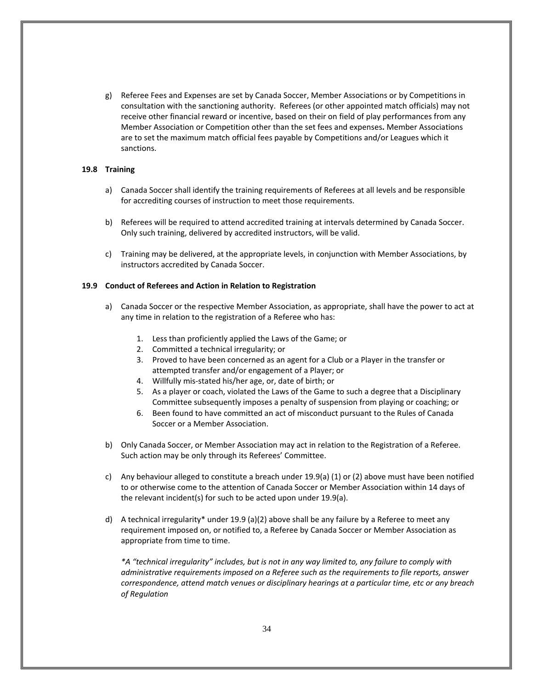g) Referee Fees and Expenses are set by Canada Soccer, Member Associations or by Competitions in consultation with the sanctioning authority. Referees (or other appointed match officials) may not receive other financial reward or incentive, based on their on field of play performances from any Member Association or Competition other than the set fees and expenses**.** Member Associations are to set the maximum match official fees payable by Competitions and/or Leagues which it sanctions.

## **19.8 Training**

- a) Canada Soccer shall identify the training requirements of Referees at all levels and be responsible for accrediting courses of instruction to meet those requirements.
- b) Referees will be required to attend accredited training at intervals determined by Canada Soccer. Only such training, delivered by accredited instructors, will be valid.
- c) Training may be delivered, at the appropriate levels, in conjunction with Member Associations, by instructors accredited by Canada Soccer.

## **19.9 Conduct of Referees and Action in Relation to Registration**

- a) Canada Soccer or the respective Member Association, as appropriate, shall have the power to act at any time in relation to the registration of a Referee who has:
	- 1. Less than proficiently applied the Laws of the Game; or
	- 2. Committed a technical irregularity; or
	- 3. Proved to have been concerned as an agent for a Club or a Player in the transfer or attempted transfer and/or engagement of a Player; or
	- 4. Willfully mis-stated his/her age, or, date of birth; or
	- 5. As a player or coach, violated the Laws of the Game to such a degree that a Disciplinary Committee subsequently imposes a penalty of suspension from playing or coaching; or
	- 6. Been found to have committed an act of misconduct pursuant to the Rules of Canada Soccer or a Member Association.
- b) Only Canada Soccer, or Member Association may act in relation to the Registration of a Referee. Such action may be only through its Referees' Committee.
- c) Any behaviour alleged to constitute a breach under 19.9(a) (1) or (2) above must have been notified to or otherwise come to the attention of Canada Soccer or Member Association within 14 days of the relevant incident(s) for such to be acted upon under 19.9(a).
- d) A technical irregularity<sup>\*</sup> under 19.9 (a)(2) above shall be any failure by a Referee to meet any requirement imposed on, or notified to, a Referee by Canada Soccer or Member Association as appropriate from time to time.

*\*A "technical irregularity" includes, but is not in any way limited to, any failure to comply with administrative requirements imposed on a Referee such as the requirements to file reports, answer correspondence, attend match venues or disciplinary hearings at a particular time, etc or any breach of Regulation*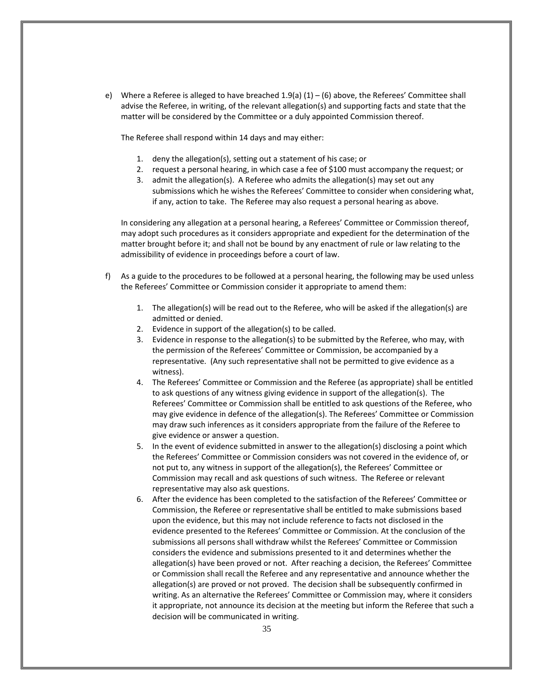e) Where a Referee is alleged to have breached  $1.9(a) (1) - (6)$  above, the Referees' Committee shall advise the Referee, in writing, of the relevant allegation(s) and supporting facts and state that the matter will be considered by the Committee or a duly appointed Commission thereof.

The Referee shall respond within 14 days and may either:

- 1. deny the allegation(s), setting out a statement of his case; or
- 2. request a personal hearing, in which case a fee of \$100 must accompany the request; or
- 3. admit the allegation(s). A Referee who admits the allegation(s) may set out any submissions which he wishes the Referees' Committee to consider when considering what, if any, action to take. The Referee may also request a personal hearing as above.

In considering any allegation at a personal hearing, a Referees' Committee or Commission thereof, may adopt such procedures as it considers appropriate and expedient for the determination of the matter brought before it; and shall not be bound by any enactment of rule or law relating to the admissibility of evidence in proceedings before a court of law.

- f) As a guide to the procedures to be followed at a personal hearing, the following may be used unless the Referees' Committee or Commission consider it appropriate to amend them:
	- 1. The allegation(s) will be read out to the Referee, who will be asked if the allegation(s) are admitted or denied.
	- 2. Evidence in support of the allegation(s) to be called.
	- 3. Evidence in response to the allegation(s) to be submitted by the Referee, who may, with the permission of the Referees' Committee or Commission, be accompanied by a representative. (Any such representative shall not be permitted to give evidence as a witness).
	- 4. The Referees' Committee or Commission and the Referee (as appropriate) shall be entitled to ask questions of any witness giving evidence in support of the allegation(s). The Referees' Committee or Commission shall be entitled to ask questions of the Referee, who may give evidence in defence of the allegation(s). The Referees' Committee or Commission may draw such inferences as it considers appropriate from the failure of the Referee to give evidence or answer a question.
	- 5. In the event of evidence submitted in answer to the allegation(s) disclosing a point which the Referees' Committee or Commission considers was not covered in the evidence of, or not put to, any witness in support of the allegation(s), the Referees' Committee or Commission may recall and ask questions of such witness. The Referee or relevant representative may also ask questions.
	- 6. After the evidence has been completed to the satisfaction of the Referees' Committee or Commission, the Referee or representative shall be entitled to make submissions based upon the evidence, but this may not include reference to facts not disclosed in the evidence presented to the Referees' Committee or Commission. At the conclusion of the submissions all persons shall withdraw whilst the Referees' Committee or Commission considers the evidence and submissions presented to it and determines whether the allegation(s) have been proved or not. After reaching a decision, the Referees' Committee or Commission shall recall the Referee and any representative and announce whether the allegation(s) are proved or not proved. The decision shall be subsequently confirmed in writing. As an alternative the Referees' Committee or Commission may, where it considers it appropriate, not announce its decision at the meeting but inform the Referee that such a decision will be communicated in writing.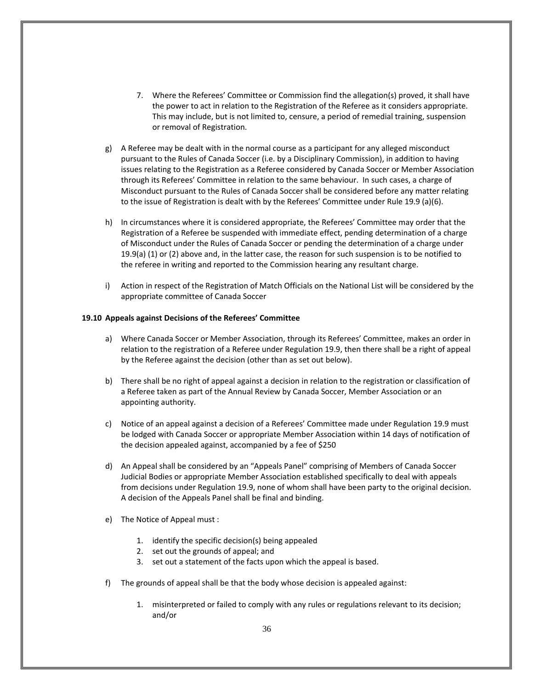- 7. Where the Referees' Committee or Commission find the allegation(s) proved, it shall have the power to act in relation to the Registration of the Referee as it considers appropriate. This may include, but is not limited to, censure, a period of remedial training, suspension or removal of Registration.
- g) A Referee may be dealt with in the normal course as a participant for any alleged misconduct pursuant to the Rules of Canada Soccer (i.e. by a Disciplinary Commission), in addition to having issues relating to the Registration as a Referee considered by Canada Soccer or Member Association through its Referees' Committee in relation to the same behaviour. In such cases, a charge of Misconduct pursuant to the Rules of Canada Soccer shall be considered before any matter relating to the issue of Registration is dealt with by the Referees' Committee under Rule 19.9 (a)(6).
- h) In circumstances where it is considered appropriate, the Referees' Committee may order that the Registration of a Referee be suspended with immediate effect, pending determination of a charge of Misconduct under the Rules of Canada Soccer or pending the determination of a charge under 19.9(a) (1) or (2) above and, in the latter case, the reason for such suspension is to be notified to the referee in writing and reported to the Commission hearing any resultant charge.
- i) Action in respect of the Registration of Match Officials on the National List will be considered by the appropriate committee of Canada Soccer

## **19.10 Appeals against Decisions of the Referees' Committee**

- a) Where Canada Soccer or Member Association, through its Referees' Committee, makes an order in relation to the registration of a Referee under Regulation 19.9, then there shall be a right of appeal by the Referee against the decision (other than as set out below).
- b) There shall be no right of appeal against a decision in relation to the registration or classification of a Referee taken as part of the Annual Review by Canada Soccer, Member Association or an appointing authority.
- c) Notice of an appeal against a decision of a Referees' Committee made under Regulation 19.9 must be lodged with Canada Soccer or appropriate Member Association within 14 days of notification of the decision appealed against, accompanied by a fee of \$250
- d) An Appeal shall be considered by an "Appeals Panel" comprising of Members of Canada Soccer Judicial Bodies or appropriate Member Association established specifically to deal with appeals from decisions under Regulation 19.9, none of whom shall have been party to the original decision. A decision of the Appeals Panel shall be final and binding.
- e) The Notice of Appeal must :
	- 1. identify the specific decision(s) being appealed
	- 2. set out the grounds of appeal; and
	- 3. set out a statement of the facts upon which the appeal is based.
- f) The grounds of appeal shall be that the body whose decision is appealed against:
	- 1. misinterpreted or failed to comply with any rules or regulations relevant to its decision; and/or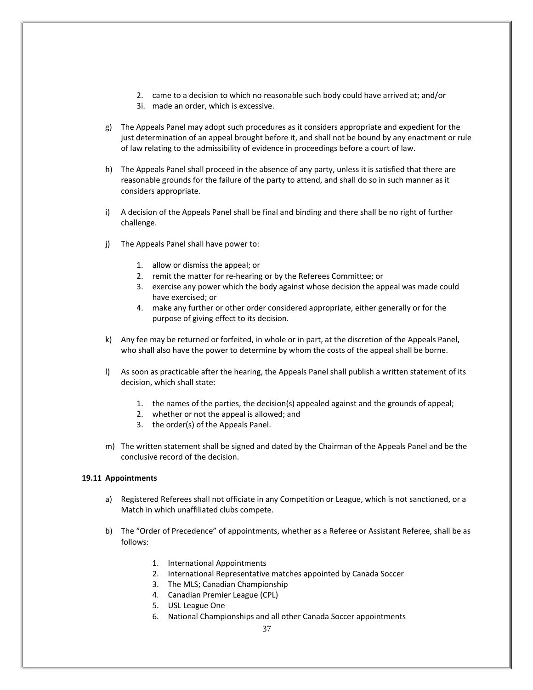- 2. came to a decision to which no reasonable such body could have arrived at; and/or
- 3i. made an order, which is excessive.
- g) The Appeals Panel may adopt such procedures as it considers appropriate and expedient for the just determination of an appeal brought before it, and shall not be bound by any enactment or rule of law relating to the admissibility of evidence in proceedings before a court of law.
- h) The Appeals Panel shall proceed in the absence of any party, unless it is satisfied that there are reasonable grounds for the failure of the party to attend, and shall do so in such manner as it considers appropriate.
- i) A decision of the Appeals Panel shall be final and binding and there shall be no right of further challenge.
- j) The Appeals Panel shall have power to:
	- 1. allow or dismiss the appeal; or
	- 2. remit the matter for re-hearing or by the Referees Committee; or
	- 3. exercise any power which the body against whose decision the appeal was made could have exercised; or
	- 4. make any further or other order considered appropriate, either generally or for the purpose of giving effect to its decision.
- k) Any fee may be returned or forfeited, in whole or in part, at the discretion of the Appeals Panel, who shall also have the power to determine by whom the costs of the appeal shall be borne.
- l) As soon as practicable after the hearing, the Appeals Panel shall publish a written statement of its decision, which shall state:
	- 1. the names of the parties, the decision(s) appealed against and the grounds of appeal;
	- 2. whether or not the appeal is allowed; and
	- 3. the order(s) of the Appeals Panel.
- m) The written statement shall be signed and dated by the Chairman of the Appeals Panel and be the conclusive record of the decision.

## **19.11 Appointments**

- a) Registered Referees shall not officiate in any Competition or League, which is not sanctioned, or a Match in which unaffiliated clubs compete.
- b) The "Order of Precedence" of appointments, whether as a Referee or Assistant Referee, shall be as follows:
	- 1. International Appointments
	- 2. International Representative matches appointed by Canada Soccer
	- 3. The MLS; Canadian Championship
	- 4. Canadian Premier League (CPL)
	- 5. USL League One
	- 6. National Championships and all other Canada Soccer appointments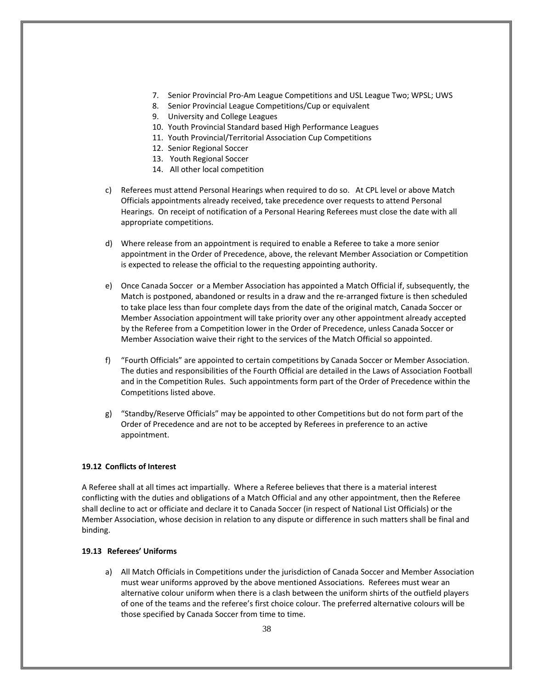- 7. Senior Provincial Pro-Am League Competitions and USL League Two; WPSL; UWS
- 8. Senior Provincial League Competitions/Cup or equivalent
- 9. University and College Leagues
- 10. Youth Provincial Standard based High Performance Leagues
- 11. Youth Provincial/Territorial Association Cup Competitions
- 12. Senior Regional Soccer
- 13. Youth Regional Soccer
- 14. All other local competition
- c) Referees must attend Personal Hearings when required to do so. At CPL level or above Match Officials appointments already received, take precedence over requests to attend Personal Hearings. On receipt of notification of a Personal Hearing Referees must close the date with all appropriate competitions.
- d) Where release from an appointment is required to enable a Referee to take a more senior appointment in the Order of Precedence, above, the relevant Member Association or Competition is expected to release the official to the requesting appointing authority.
- e) Once Canada Soccer or a Member Association has appointed a Match Official if, subsequently, the Match is postponed, abandoned or results in a draw and the re-arranged fixture is then scheduled to take place less than four complete days from the date of the original match, Canada Soccer or Member Association appointment will take priority over any other appointment already accepted by the Referee from a Competition lower in the Order of Precedence, unless Canada Soccer or Member Association waive their right to the services of the Match Official so appointed.
- f) "Fourth Officials" are appointed to certain competitions by Canada Soccer or Member Association. The duties and responsibilities of the Fourth Official are detailed in the Laws of Association Football and in the Competition Rules. Such appointments form part of the Order of Precedence within the Competitions listed above.
- g) "Standby/Reserve Officials" may be appointed to other Competitions but do not form part of the Order of Precedence and are not to be accepted by Referees in preference to an active appointment.

## **19.12 Conflicts of Interest**

A Referee shall at all times act impartially. Where a Referee believes that there is a material interest conflicting with the duties and obligations of a Match Official and any other appointment, then the Referee shall decline to act or officiate and declare it to Canada Soccer (in respect of National List Officials) or the Member Association, whose decision in relation to any dispute or difference in such matters shall be final and binding.

## **19.13 Referees' Uniforms**

a) All Match Officials in Competitions under the jurisdiction of Canada Soccer and Member Association must wear uniforms approved by the above mentioned Associations. Referees must wear an alternative colour uniform when there is a clash between the uniform shirts of the outfield players of one of the teams and the referee's first choice colour. The preferred alternative colours will be those specified by Canada Soccer from time to time.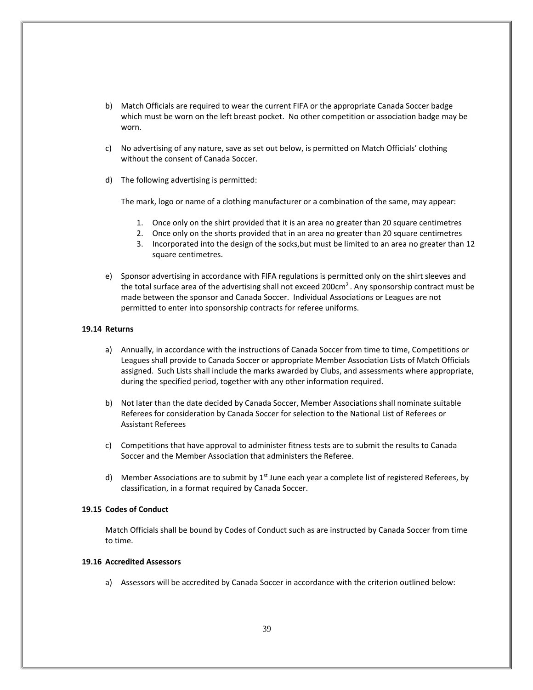- b) Match Officials are required to wear the current FIFA or the appropriate Canada Soccer badge which must be worn on the left breast pocket. No other competition or association badge may be worn.
- c) No advertising of any nature, save as set out below, is permitted on Match Officials' clothing without the consent of Canada Soccer.
- d) The following advertising is permitted:

The mark, logo or name of a clothing manufacturer or a combination of the same, may appear:

- 1. Once only on the shirt provided that it is an area no greater than 20 square centimetres
- 2. Once only on the shorts provided that in an area no greater than 20 square centimetres
- 3. Incorporated into the design of the socks,but must be limited to an area no greater than 12 square centimetres.
- e) Sponsor advertising in accordance with FIFA regulations is permitted only on the shirt sleeves and the total surface area of the advertising shall not exceed 200 $cm<sup>2</sup>$ . Any sponsorship contract must be made between the sponsor and Canada Soccer. Individual Associations or Leagues are not permitted to enter into sponsorship contracts for referee uniforms.

#### **19.14 Returns**

- a) Annually, in accordance with the instructions of Canada Soccer from time to time, Competitions or Leagues shall provide to Canada Soccer or appropriate Member Association Lists of Match Officials assigned. Such Lists shall include the marks awarded by Clubs, and assessments where appropriate, during the specified period, together with any other information required.
- b) Not later than the date decided by Canada Soccer, Member Associations shall nominate suitable Referees for consideration by Canada Soccer for selection to the National List of Referees or Assistant Referees
- c) Competitions that have approval to administer fitness tests are to submit the results to Canada Soccer and the Member Association that administers the Referee.
- d) Member Associations are to submit by  $1<sup>st</sup>$  June each year a complete list of registered Referees, by classification, in a format required by Canada Soccer.

## **19.15 Codes of Conduct**

Match Officials shall be bound by Codes of Conduct such as are instructed by Canada Soccer from time to time.

## **19.16 Accredited Assessors**

a) Assessors will be accredited by Canada Soccer in accordance with the criterion outlined below: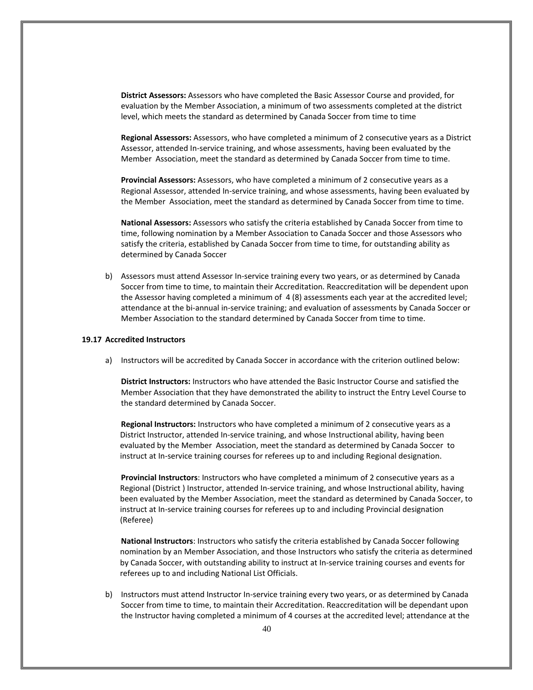**District Assessors:** Assessors who have completed the Basic Assessor Course and provided, for evaluation by the Member Association, a minimum of two assessments completed at the district level, which meets the standard as determined by Canada Soccer from time to time

**Regional Assessors:** Assessors, who have completed a minimum of 2 consecutive years as a District Assessor, attended In-service training, and whose assessments, having been evaluated by the Member Association, meet the standard as determined by Canada Soccer from time to time.

**Provincial Assessors:** Assessors, who have completed a minimum of 2 consecutive years as a Regional Assessor, attended In-service training, and whose assessments, having been evaluated by the Member Association, meet the standard as determined by Canada Soccer from time to time.

**National Assessors:** Assessors who satisfy the criteria established by Canada Soccer from time to time, following nomination by a Member Association to Canada Soccer and those Assessors who satisfy the criteria, established by Canada Soccer from time to time, for outstanding ability as determined by Canada Soccer

b) Assessors must attend Assessor In-service training every two years, or as determined by Canada Soccer from time to time, to maintain their Accreditation. Reaccreditation will be dependent upon the Assessor having completed a minimum of 4 (8) assessments each year at the accredited level; attendance at the bi-annual in-service training; and evaluation of assessments by Canada Soccer or Member Association to the standard determined by Canada Soccer from time to time.

## **19.17 Accredited Instructors**

a) Instructors will be accredited by Canada Soccer in accordance with the criterion outlined below:

**District Instructors:** Instructors who have attended the Basic Instructor Course and satisfied the Member Association that they have demonstrated the ability to instruct the Entry Level Course to the standard determined by Canada Soccer.

**Regional Instructors:** Instructors who have completed a minimum of 2 consecutive years as a District Instructor, attended In-service training, and whose Instructional ability, having been evaluated by the Member Association, meet the standard as determined by Canada Soccer to instruct at In-service training courses for referees up to and including Regional designation.

**Provincial Instructors**: Instructors who have completed a minimum of 2 consecutive years as a Regional (District ) Instructor, attended In-service training, and whose Instructional ability, having been evaluated by the Member Association, meet the standard as determined by Canada Soccer, to instruct at In-service training courses for referees up to and including Provincial designation (Referee)

**National Instructors**: Instructors who satisfy the criteria established by Canada Soccer following nomination by an Member Association, and those Instructors who satisfy the criteria as determined by Canada Soccer, with outstanding ability to instruct at In-service training courses and events for referees up to and including National List Officials.

b) Instructors must attend Instructor In-service training every two years, or as determined by Canada Soccer from time to time, to maintain their Accreditation. Reaccreditation will be dependant upon the Instructor having completed a minimum of 4 courses at the accredited level; attendance at the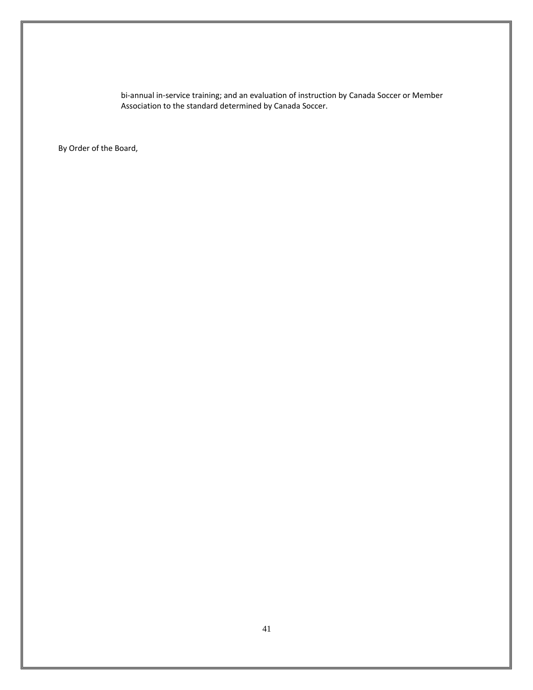bi-annual in-service training; and an evaluation of instruction by Canada Soccer or Member Association to the standard determined by Canada Soccer.

By Order of the Board,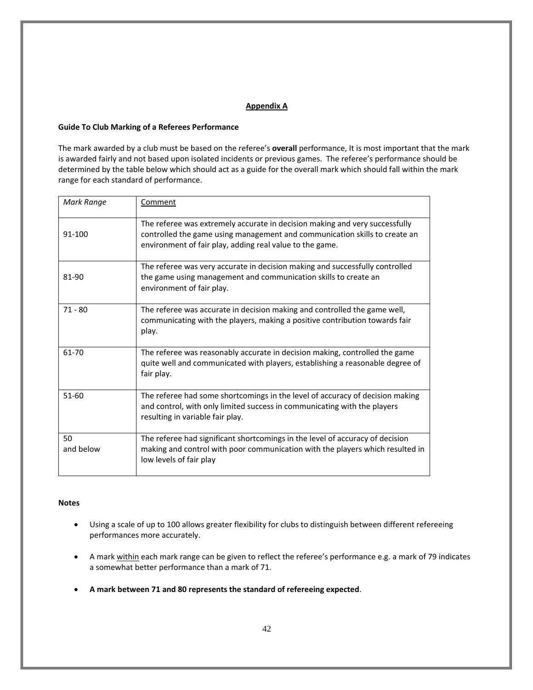## **Appendix A**

## **Guide To Club Marking of a Referees Performance**

The mark awarded by a club must be based on the referee's **overall** performance, It is most important that the mark is awarded fairly and not based upon isolated incidents or previous games. The referee's performance should be determined by the table below which should act as a guide for the overall mark which should fall within the mark range for each standard of performance.

| Mark Range      | Comment                                                                                                                                                                                                               |
|-----------------|-----------------------------------------------------------------------------------------------------------------------------------------------------------------------------------------------------------------------|
| 91-100          | The referee was extremely accurate in decision making and very successfully<br>controlled the game using management and communication skills to create an<br>environment of fair play, adding real value to the game. |
| 81-90           | The referee was very accurate in decision making and successfully controlled<br>the game using management and communication skills to create an<br>environment of fair play.                                          |
| $71 - 80$       | The referee was accurate in decision making and controlled the game well,<br>communicating with the players, making a positive contribution towards fair<br>play.                                                     |
| 61-70           | The referee was reasonably accurate in decision making, controlled the game<br>quite well and communicated with players, establishing a reasonable degree of<br>fair play.                                            |
| $51 - 60$       | The referee had some shortcomings in the level of accuracy of decision making<br>and control, with only limited success in communicating with the players<br>resulting in variable fair play.                         |
| 50<br>and below | The referee had significant shortcomings in the level of accuracy of decision<br>making and control with poor communication with the players which resulted in<br>low levels of fair play                             |

## **Notes**

- Using a scale of up to 100 allows greater flexibility for clubs to distinguish between different refereeing performances more accurately.
- A mark within each mark range can be given to reflect the referee's performance e.g. a mark of 79 indicates a somewhat better performance than a mark of 71.
- **A mark between 71 and 80 represents the standard of refereeing expected**.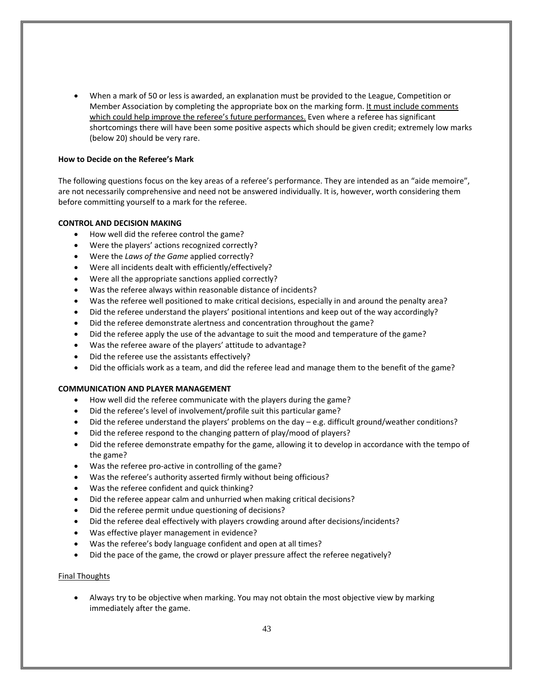• When a mark of 50 or less is awarded, an explanation must be provided to the League, Competition or Member Association by completing the appropriate box on the marking form. It must include comments which could help improve the referee's future performances. Even where a referee has significant shortcomings there will have been some positive aspects which should be given credit; extremely low marks (below 20) should be very rare.

## **How to Decide on the Referee's Mark**

The following questions focus on the key areas of a referee's performance. They are intended as an "aide memoire", are not necessarily comprehensive and need not be answered individually. It is, however, worth considering them before committing yourself to a mark for the referee.

## **CONTROL AND DECISION MAKING**

- How well did the referee control the game?
- Were the players' actions recognized correctly?
- Were the *Laws of the Game* applied correctly?
- Were all incidents dealt with efficiently/effectively?
- Were all the appropriate sanctions applied correctly?
- Was the referee always within reasonable distance of incidents?
- Was the referee well positioned to make critical decisions, especially in and around the penalty area?
- Did the referee understand the players' positional intentions and keep out of the way accordingly?
- Did the referee demonstrate alertness and concentration throughout the game?
- Did the referee apply the use of the advantage to suit the mood and temperature of the game?
- Was the referee aware of the players' attitude to advantage?
- Did the referee use the assistants effectively?
- Did the officials work as a team, and did the referee lead and manage them to the benefit of the game?

## **COMMUNICATION AND PLAYER MANAGEMENT**

- How well did the referee communicate with the players during the game?
- Did the referee's level of involvement/profile suit this particular game?
- Did the referee understand the players' problems on the day e.g. difficult ground/weather conditions?
- Did the referee respond to the changing pattern of play/mood of players?
- Did the referee demonstrate empathy for the game, allowing it to develop in accordance with the tempo of the game?
- Was the referee pro-active in controlling of the game?
- Was the referee's authority asserted firmly without being officious?
- Was the referee confident and quick thinking?
- Did the referee appear calm and unhurried when making critical decisions?
- Did the referee permit undue questioning of decisions?
- Did the referee deal effectively with players crowding around after decisions/incidents?
- Was effective player management in evidence?
- Was the referee's body language confident and open at all times?
- Did the pace of the game, the crowd or player pressure affect the referee negatively?

## Final Thoughts

• Always try to be objective when marking. You may not obtain the most objective view by marking immediately after the game.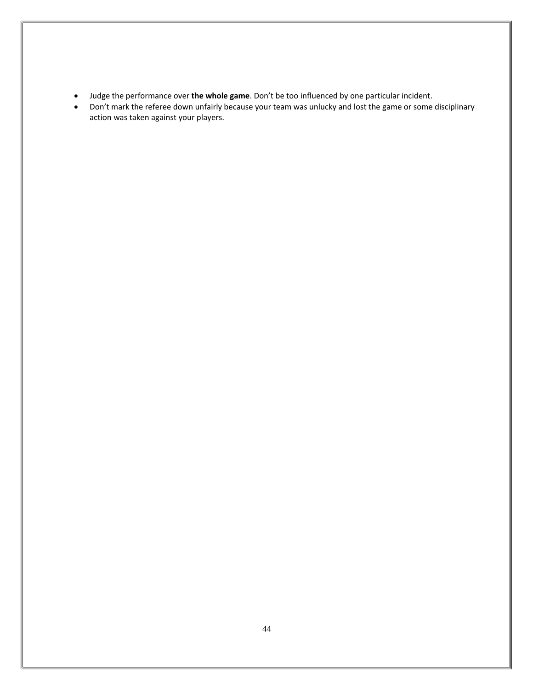- Judge the performance over **the whole game**. Don't be too influenced by one particular incident.
- Don't mark the referee down unfairly because your team was unlucky and lost the game or some disciplinary action was taken against your players.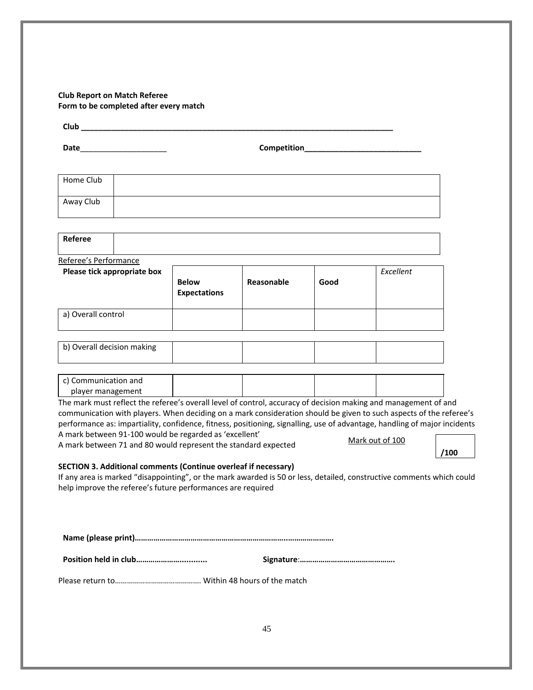## **Club Report on Match Referee Form to be completed after every match**

| Club |  |
|------|--|
|      |  |

**Date Competition** 

| Home Club |  |
|-----------|--|
| Away Club |  |

| Referee               |  |  |
|-----------------------|--|--|
| Referee's Performance |  |  |

**Please tick appropriate box Below Expectations Reasonable Good** *Excellent*  a) Overall control

| b) Overall decision making |  |  |
|----------------------------|--|--|
|                            |  |  |

| c) Communication and |  |  |
|----------------------|--|--|
| player management    |  |  |

The mark must reflect the referee's overall level of control, accuracy of decision making and management of and communication with players. When deciding on a mark consideration should be given to such aspects of the referee's performance as: impartiality, confidence, fitness, positioning, signalling, use of advantage, handling of major incidents A mark between 91-100 would be regarded as 'excellent' Mark out of 100

A mark between 71 and 80 would represent the standard expected

**/100**

## **SECTION 3. Additional comments (Continue overleaf if necessary)**

If any area is marked "disappointing", or the mark awarded is 50 or less, detailed, constructive comments which could help improve the referee's future performances are required

**Name (please print)………………………………………………………………..………………….**

**Position held in club…………………............ Signature**:**……………………………………….**

Please return to……………………………………. Within 48 hours of the match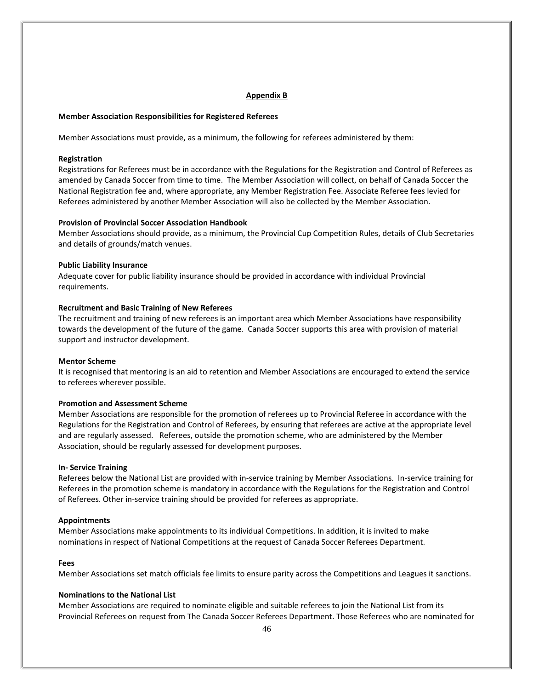#### **Appendix B**

#### **Member Association Responsibilities for Registered Referees**

Member Associations must provide, as a minimum, the following for referees administered by them:

#### **Registration**

Registrations for Referees must be in accordance with the Regulations for the Registration and Control of Referees as amended by Canada Soccer from time to time. The Member Association will collect, on behalf of Canada Soccer the National Registration fee and, where appropriate, any Member Registration Fee. Associate Referee fees levied for Referees administered by another Member Association will also be collected by the Member Association.

## **Provision of Provincial Soccer Association Handbook**

Member Associations should provide, as a minimum, the Provincial Cup Competition Rules, details of Club Secretaries and details of grounds/match venues.

## **Public Liability Insurance**

Adequate cover for public liability insurance should be provided in accordance with individual Provincial requirements.

## **Recruitment and Basic Training of New Referees**

The recruitment and training of new referees is an important area which Member Associations have responsibility towards the development of the future of the game. Canada Soccer supports this area with provision of material support and instructor development.

#### **Mentor Scheme**

It is recognised that mentoring is an aid to retention and Member Associations are encouraged to extend the service to referees wherever possible.

## **Promotion and Assessment Scheme**

Member Associations are responsible for the promotion of referees up to Provincial Referee in accordance with the Regulations for the Registration and Control of Referees, by ensuring that referees are active at the appropriate level and are regularly assessed. Referees, outside the promotion scheme, who are administered by the Member Association, should be regularly assessed for development purposes.

#### **In- Service Training**

Referees below the National List are provided with in-service training by Member Associations. In-service training for Referees in the promotion scheme is mandatory in accordance with the Regulations for the Registration and Control of Referees. Other in-service training should be provided for referees as appropriate.

#### **Appointments**

Member Associations make appointments to its individual Competitions. In addition, it is invited to make nominations in respect of National Competitions at the request of Canada Soccer Referees Department.

#### **Fees**

Member Associations set match officials fee limits to ensure parity across the Competitions and Leagues it sanctions.

## **Nominations to the National List**

Member Associations are required to nominate eligible and suitable referees to join the National List from its Provincial Referees on request from The Canada Soccer Referees Department. Those Referees who are nominated for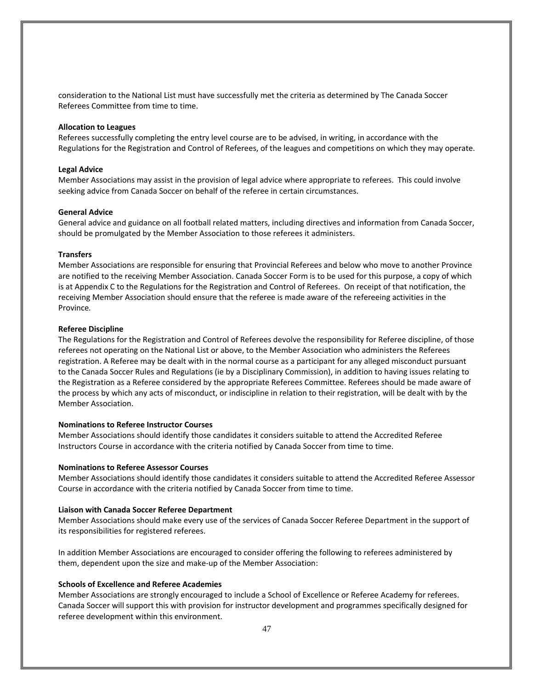consideration to the National List must have successfully met the criteria as determined by The Canada Soccer Referees Committee from time to time.

## **Allocation to Leagues**

Referees successfully completing the entry level course are to be advised, in writing, in accordance with the Regulations for the Registration and Control of Referees, of the leagues and competitions on which they may operate.

#### **Legal Advice**

Member Associations may assist in the provision of legal advice where appropriate to referees. This could involve seeking advice from Canada Soccer on behalf of the referee in certain circumstances.

## **General Advice**

General advice and guidance on all football related matters, including directives and information from Canada Soccer, should be promulgated by the Member Association to those referees it administers.

#### **Transfers**

Member Associations are responsible for ensuring that Provincial Referees and below who move to another Province are notified to the receiving Member Association. Canada Soccer Form is to be used for this purpose, a copy of which is at Appendix C to the Regulations for the Registration and Control of Referees. On receipt of that notification, the receiving Member Association should ensure that the referee is made aware of the refereeing activities in the Province*.*

#### **Referee Discipline**

The Regulations for the Registration and Control of Referees devolve the responsibility for Referee discipline, of those referees not operating on the National List or above, to the Member Association who administers the Referees registration. A Referee may be dealt with in the normal course as a participant for any alleged misconduct pursuant to the Canada Soccer Rules and Regulations (ie by a Disciplinary Commission), in addition to having issues relating to the Registration as a Referee considered by the appropriate Referees Committee. Referees should be made aware of the process by which any acts of misconduct, or indiscipline in relation to their registration, will be dealt with by the Member Association.

## **Nominations to Referee Instructor Courses**

Member Associations should identify those candidates it considers suitable to attend the Accredited Referee Instructors Course in accordance with the criteria notified by Canada Soccer from time to time.

#### **Nominations to Referee Assessor Courses**

Member Associations should identify those candidates it considers suitable to attend the Accredited Referee Assessor Course in accordance with the criteria notified by Canada Soccer from time to time.

#### **Liaison with Canada Soccer Referee Department**

Member Associations should make every use of the services of Canada Soccer Referee Department in the support of its responsibilities for registered referees.

In addition Member Associations are encouraged to consider offering the following to referees administered by them, dependent upon the size and make-up of the Member Association:

## **Schools of Excellence and Referee Academies**

Member Associations are strongly encouraged to include a School of Excellence or Referee Academy for referees. Canada Soccer will support this with provision for instructor development and programmes specifically designed for referee development within this environment.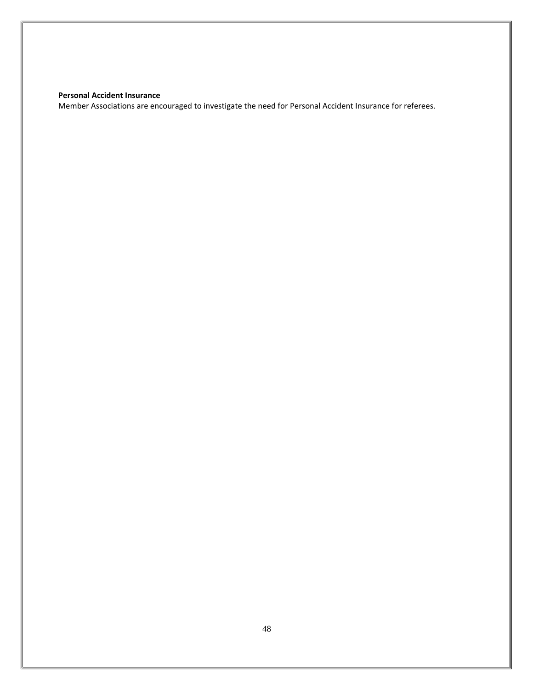## **Personal Accident Insurance**

Member Associations are encouraged to investigate the need for Personal Accident Insurance for referees.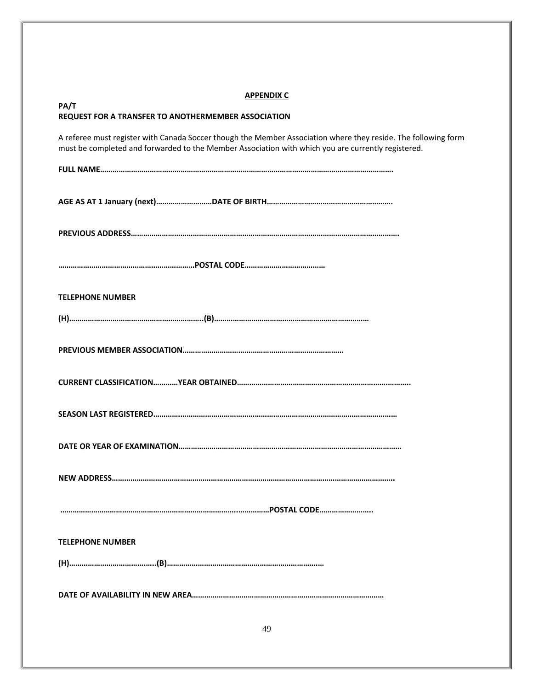| <b>APPENDIX C</b>                                                                                                                                                                                                    |
|----------------------------------------------------------------------------------------------------------------------------------------------------------------------------------------------------------------------|
| PA/T<br>REQUEST FOR A TRANSFER TO ANOTHERMEMBER ASSOCIATION                                                                                                                                                          |
| A referee must register with Canada Soccer though the Member Association where they reside. The following form<br>must be completed and forwarded to the Member Association with which you are currently registered. |
|                                                                                                                                                                                                                      |
|                                                                                                                                                                                                                      |
|                                                                                                                                                                                                                      |
|                                                                                                                                                                                                                      |
| <b>TELEPHONE NUMBER</b>                                                                                                                                                                                              |
|                                                                                                                                                                                                                      |
|                                                                                                                                                                                                                      |
|                                                                                                                                                                                                                      |
|                                                                                                                                                                                                                      |
|                                                                                                                                                                                                                      |
| <b>NEW ADDRESS</b>                                                                                                                                                                                                   |
|                                                                                                                                                                                                                      |
| <b>TELEPHONE NUMBER</b>                                                                                                                                                                                              |
|                                                                                                                                                                                                                      |
|                                                                                                                                                                                                                      |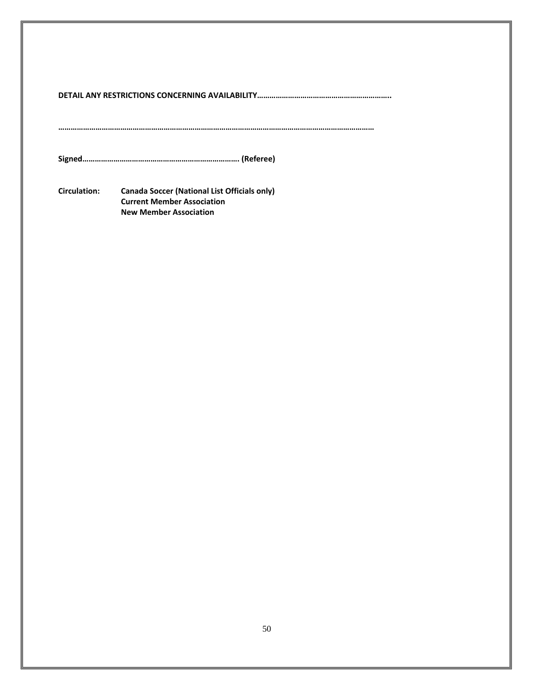**………………………………………………………………………………………………………………………………………**

**Signed…………………………………………………………………. (Referee)** 

**Circulation: Canada Soccer (National List Officials only) Current Member Association New Member Association**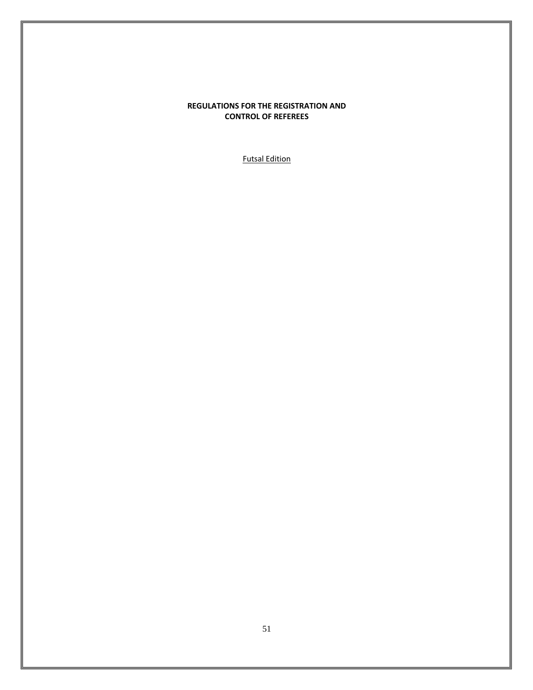## **REGULATIONS FOR THE REGISTRATION AND CONTROL OF REFEREES**

Futsal Edition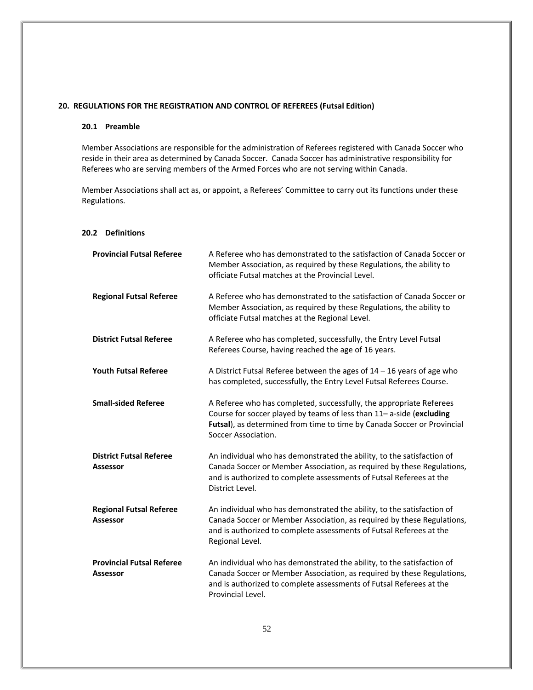## <span id="page-51-0"></span>**20. REGULATIONS FOR THE REGISTRATION AND CONTROL OF REFEREES (Futsal Edition)**

## **20.1 Preamble**

Member Associations are responsible for the administration of Referees registered with Canada Soccer who reside in their area as determined by Canada Soccer. Canada Soccer has administrative responsibility for Referees who are serving members of the Armed Forces who are not serving within Canada.

Member Associations shall act as, or appoint, a Referees' Committee to carry out its functions under these Regulations.

#### **20.2 Definitions**

| <b>Provincial Futsal Referee</b>                    | A Referee who has demonstrated to the satisfaction of Canada Soccer or<br>Member Association, as required by these Regulations, the ability to<br>officiate Futsal matches at the Provincial Level.                                           |
|-----------------------------------------------------|-----------------------------------------------------------------------------------------------------------------------------------------------------------------------------------------------------------------------------------------------|
| <b>Regional Futsal Referee</b>                      | A Referee who has demonstrated to the satisfaction of Canada Soccer or<br>Member Association, as required by these Regulations, the ability to<br>officiate Futsal matches at the Regional Level.                                             |
| <b>District Futsal Referee</b>                      | A Referee who has completed, successfully, the Entry Level Futsal<br>Referees Course, having reached the age of 16 years.                                                                                                                     |
| <b>Youth Futsal Referee</b>                         | A District Futsal Referee between the ages of $14 - 16$ years of age who<br>has completed, successfully, the Entry Level Futsal Referees Course.                                                                                              |
| <b>Small-sided Referee</b>                          | A Referee who has completed, successfully, the appropriate Referees<br>Course for soccer played by teams of less than 11- a-side (excluding<br>Futsal), as determined from time to time by Canada Soccer or Provincial<br>Soccer Association. |
| <b>District Futsal Referee</b><br><b>Assessor</b>   | An individual who has demonstrated the ability, to the satisfaction of<br>Canada Soccer or Member Association, as required by these Regulations,<br>and is authorized to complete assessments of Futsal Referees at the<br>District Level.    |
| <b>Regional Futsal Referee</b><br><b>Assessor</b>   | An individual who has demonstrated the ability, to the satisfaction of<br>Canada Soccer or Member Association, as required by these Regulations,<br>and is authorized to complete assessments of Futsal Referees at the<br>Regional Level.    |
| <b>Provincial Futsal Referee</b><br><b>Assessor</b> | An individual who has demonstrated the ability, to the satisfaction of<br>Canada Soccer or Member Association, as required by these Regulations,<br>and is authorized to complete assessments of Futsal Referees at the<br>Provincial Level.  |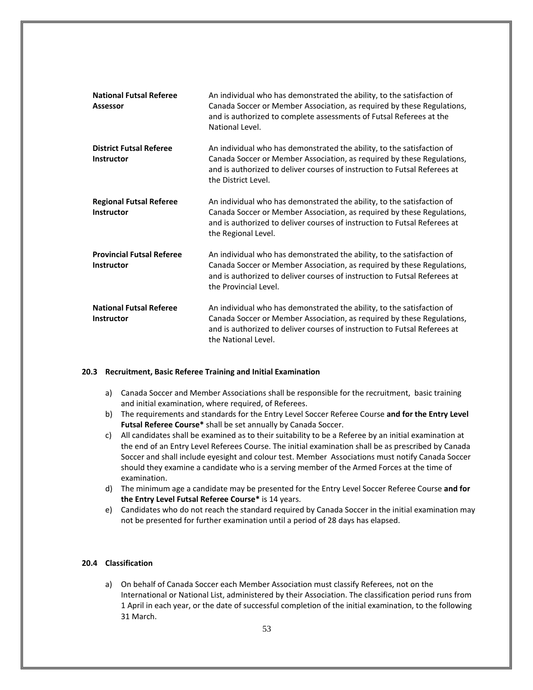| <b>National Futsal Referee</b><br><b>Assessor</b>     | An individual who has demonstrated the ability, to the satisfaction of<br>Canada Soccer or Member Association, as required by these Regulations,<br>and is authorized to complete assessments of Futsal Referees at the<br>National Level.             |
|-------------------------------------------------------|--------------------------------------------------------------------------------------------------------------------------------------------------------------------------------------------------------------------------------------------------------|
| <b>District Futsal Referee</b><br><b>Instructor</b>   | An individual who has demonstrated the ability, to the satisfaction of<br>Canada Soccer or Member Association, as required by these Regulations,<br>and is authorized to deliver courses of instruction to Futsal Referees at<br>the District Level.   |
| <b>Regional Futsal Referee</b><br>Instructor          | An individual who has demonstrated the ability, to the satisfaction of<br>Canada Soccer or Member Association, as required by these Regulations,<br>and is authorized to deliver courses of instruction to Futsal Referees at<br>the Regional Level.   |
| <b>Provincial Futsal Referee</b><br><b>Instructor</b> | An individual who has demonstrated the ability, to the satisfaction of<br>Canada Soccer or Member Association, as required by these Regulations,<br>and is authorized to deliver courses of instruction to Futsal Referees at<br>the Provincial Level. |
| <b>National Futsal Referee</b><br><b>Instructor</b>   | An individual who has demonstrated the ability, to the satisfaction of<br>Canada Soccer or Member Association, as required by these Regulations,<br>and is authorized to deliver courses of instruction to Futsal Referees at<br>the National Level.   |

#### **20.3 Recruitment, Basic Referee Training and Initial Examination**

- a) Canada Soccer and Member Associations shall be responsible for the recruitment, basic training and initial examination, where required, of Referees.
- b) The requirements and standards for the Entry Level Soccer Referee Course **and for the Entry Level Futsal Referee Course\*** shall be set annually by Canada Soccer.
- c) All candidates shall be examined as to their suitability to be a Referee by an initial examination at the end of an Entry Level Referees Course. The initial examination shall be as prescribed by Canada Soccer and shall include eyesight and colour test. Member Associations must notify Canada Soccer should they examine a candidate who is a serving member of the Armed Forces at the time of examination.
- d) The minimum age a candidate may be presented for the Entry Level Soccer Referee Course **and for the Entry Level Futsal Referee Course\*** is 14 years.
- e) Candidates who do not reach the standard required by Canada Soccer in the initial examination may not be presented for further examination until a period of 28 days has elapsed.

#### **20.4 Classification**

a) On behalf of Canada Soccer each Member Association must classify Referees, not on the International or National List, administered by their Association. The classification period runs from 1 April in each year, or the date of successful completion of the initial examination, to the following 31 March.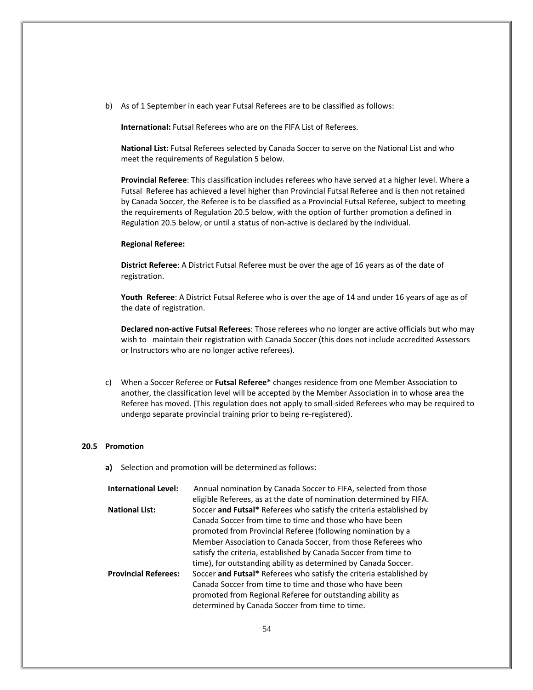b) As of 1 September in each year Futsal Referees are to be classified as follows:

**International:** Futsal Referees who are on the FIFA List of Referees.

**National List:** Futsal Referees selected by Canada Soccer to serve on the National List and who meet the requirements of Regulation 5 below.

**Provincial Referee**: This classification includes referees who have served at a higher level. Where a Futsal Referee has achieved a level higher than Provincial Futsal Referee and is then not retained by Canada Soccer, the Referee is to be classified as a Provincial Futsal Referee, subject to meeting the requirements of Regulation 20.5 below, with the option of further promotion a defined in Regulation 20.5 below, or until a status of non-active is declared by the individual.

#### **Regional Referee:**

**District Referee**: A District Futsal Referee must be over the age of 16 years as of the date of registration.

**Youth Referee**: A District Futsal Referee who is over the age of 14 and under 16 years of age as of the date of registration.

**Declared non-active Futsal Referees**: Those referees who no longer are active officials but who may wish to maintain their registration with Canada Soccer (this does not include accredited Assessors or Instructors who are no longer active referees).

c) When a Soccer Referee or **Futsal Referee\*** changes residence from one Member Association to another, the classification level will be accepted by the Member Association in to whose area the Referee has moved. (This regulation does not apply to small-sided Referees who may be required to undergo separate provincial training prior to being re-registered).

#### **20.5 Promotion**

**a)** Selection and promotion will be determined as follows:

| <b>International Level:</b> | Annual nomination by Canada Soccer to FIFA, selected from those     |
|-----------------------------|---------------------------------------------------------------------|
|                             | eligible Referees, as at the date of nomination determined by FIFA. |
| <b>National List:</b>       | Soccer and Futsal* Referees who satisfy the criteria established by |
|                             | Canada Soccer from time to time and those who have been             |
|                             | promoted from Provincial Referee (following nomination by a         |
|                             | Member Association to Canada Soccer, from those Referees who        |
|                             | satisfy the criteria, established by Canada Soccer from time to     |
|                             | time), for outstanding ability as determined by Canada Soccer.      |
| <b>Provincial Referees:</b> | Soccer and Futsal* Referees who satisfy the criteria established by |
|                             | Canada Soccer from time to time and those who have been             |
|                             | promoted from Regional Referee for outstanding ability as           |
|                             | determined by Canada Soccer from time to time.                      |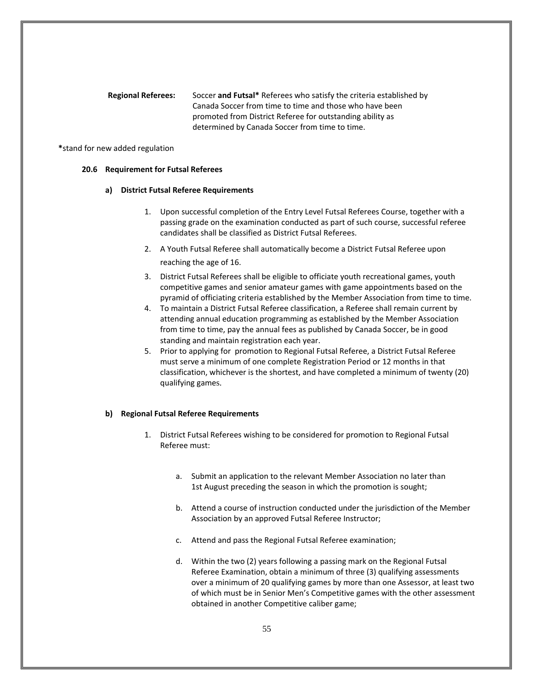**Regional Referees:** Soccer **and Futsal\*** Referees who satisfy the criteria established by Canada Soccer from time to time and those who have been promoted from District Referee for outstanding ability as determined by Canada Soccer from time to time.

#### **\***stand for new added regulation

## **20.6 Requirement for Futsal Referees**

## **a) District Futsal Referee Requirements**

- 1. Upon successful completion of the Entry Level Futsal Referees Course, together with a passing grade on the examination conducted as part of such course, successful referee candidates shall be classified as District Futsal Referees.
- 2. A Youth Futsal Referee shall automatically become a District Futsal Referee upon reaching the age of 16.
- 3. District Futsal Referees shall be eligible to officiate youth recreational games, youth competitive games and senior amateur games with game appointments based on the pyramid of officiating criteria established by the Member Association from time to time.
- 4. To maintain a District Futsal Referee classification, a Referee shall remain current by attending annual education programming as established by the Member Association from time to time, pay the annual fees as published by Canada Soccer, be in good standing and maintain registration each year.
- 5. Prior to applying for promotion to Regional Futsal Referee, a District Futsal Referee must serve a minimum of one complete Registration Period or 12 months in that classification, whichever is the shortest, and have completed a minimum of twenty (20) qualifying games.

## **b) Regional Futsal Referee Requirements**

- 1. District Futsal Referees wishing to be considered for promotion to Regional Futsal Referee must:
	- a. Submit an application to the relevant Member Association no later than 1st August preceding the season in which the promotion is sought;
	- b. Attend a course of instruction conducted under the jurisdiction of the Member Association by an approved Futsal Referee Instructor;
	- c. Attend and pass the Regional Futsal Referee examination;
	- d. Within the two (2) years following a passing mark on the Regional Futsal Referee Examination, obtain a minimum of three (3) qualifying assessments over a minimum of 20 qualifying games by more than one Assessor, at least two of which must be in Senior Men's Competitive games with the other assessment obtained in another Competitive caliber game;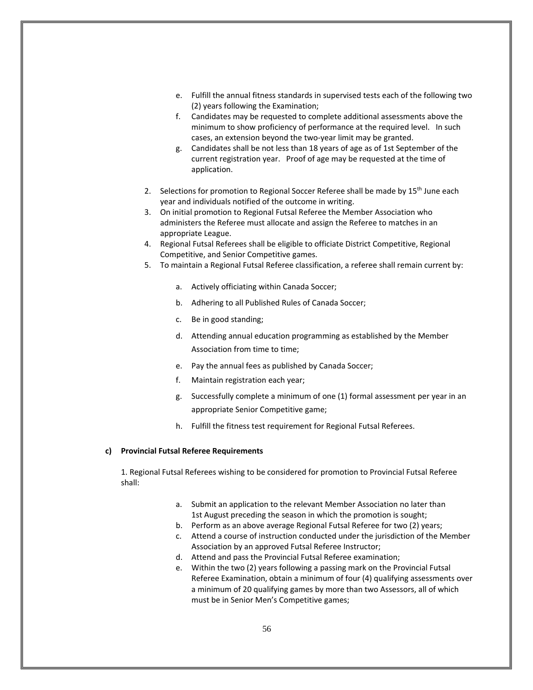- e. Fulfill the annual fitness standards in supervised tests each of the following two (2) years following the Examination;
- f. Candidates may be requested to complete additional assessments above the minimum to show proficiency of performance at the required level. In such cases, an extension beyond the two-year limit may be granted.
- g. Candidates shall be not less than 18 years of age as of 1st September of the current registration year. Proof of age may be requested at the time of application.
- 2. Selections for promotion to Regional Soccer Referee shall be made by 15<sup>th</sup> June each year and individuals notified of the outcome in writing.
- 3. On initial promotion to Regional Futsal Referee the Member Association who administers the Referee must allocate and assign the Referee to matches in an appropriate League.
- 4. Regional Futsal Referees shall be eligible to officiate District Competitive, Regional Competitive, and Senior Competitive games.
- 5. To maintain a Regional Futsal Referee classification, a referee shall remain current by:
	- a. Actively officiating within Canada Soccer;
	- b. Adhering to all Published Rules of Canada Soccer;
	- c. Be in good standing;
	- d. Attending annual education programming as established by the Member Association from time to time;
	- e. Pay the annual fees as published by Canada Soccer;
	- f. Maintain registration each year;
	- g. Successfully complete a minimum of one (1) formal assessment per year in an appropriate Senior Competitive game;
	- h. Fulfill the fitness test requirement for Regional Futsal Referees.

## **c) Provincial Futsal Referee Requirements**

1. Regional Futsal Referees wishing to be considered for promotion to Provincial Futsal Referee shall:

- a. Submit an application to the relevant Member Association no later than 1st August preceding the season in which the promotion is sought;
- b. Perform as an above average Regional Futsal Referee for two (2) years;
- c. Attend a course of instruction conducted under the jurisdiction of the Member Association by an approved Futsal Referee Instructor;
- d. Attend and pass the Provincial Futsal Referee examination;
- e. Within the two (2) years following a passing mark on the Provincial Futsal Referee Examination, obtain a minimum of four (4) qualifying assessments over a minimum of 20 qualifying games by more than two Assessors, all of which must be in Senior Men's Competitive games;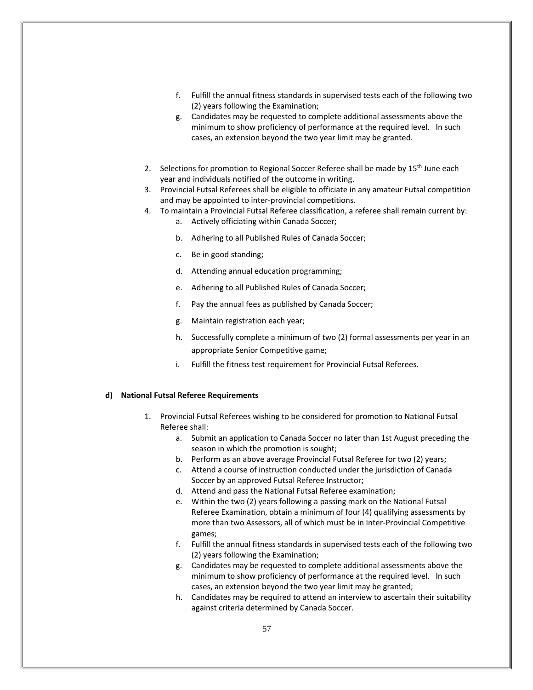- f. Fulfill the annual fitness standards in supervised tests each of the following two (2) years following the Examination;
- g. Candidates may be requested to complete additional assessments above the minimum to show proficiency of performance at the required level. In such cases, an extension beyond the two year limit may be granted.
- 2. Selections for promotion to Regional Soccer Referee shall be made by 15<sup>th</sup> June each year and individuals notified of the outcome in writing.
- 3. Provincial Futsal Referees shall be eligible to officiate in any amateur Futsal competition and may be appointed to inter-provincial competitions.
- 4. To maintain a Provincial Futsal Referee classification, a referee shall remain current by:
	- a. Actively officiating within Canada Soccer;
	- b. Adhering to all Published Rules of Canada Soccer;
	- c. Be in good standing;
	- d. Attending annual education programming;
	- e. Adhering to all Published Rules of Canada Soccer;
	- f. Pay the annual fees as published by Canada Soccer;
	- g. Maintain registration each year;
	- h. Successfully complete a minimum of two (2) formal assessments per year in an appropriate Senior Competitive game;
	- i. Fulfill the fitness test requirement for Provincial Futsal Referees.

#### **d) National Futsal Referee Requirements**

- 1. Provincial Futsal Referees wishing to be considered for promotion to National Futsal Referee shall:
	- a. Submit an application to Canada Soccer no later than 1st August preceding the season in which the promotion is sought;
	- b. Perform as an above average Provincial Futsal Referee for two (2) years;
	- c. Attend a course of instruction conducted under the jurisdiction of Canada Soccer by an approved Futsal Referee Instructor;
	- d. Attend and pass the National Futsal Referee examination;
	- e. Within the two (2) years following a passing mark on the National Futsal Referee Examination, obtain a minimum of four (4) qualifying assessments by more than two Assessors, all of which must be in Inter-Provincial Competitive games;
	- f. Fulfill the annual fitness standards in supervised tests each of the following two (2) years following the Examination;
	- g. Candidates may be requested to complete additional assessments above the minimum to show proficiency of performance at the required level. In such cases, an extension beyond the two year limit may be granted;
	- h. Candidates may be required to attend an interview to ascertain their suitability against criteria determined by Canada Soccer.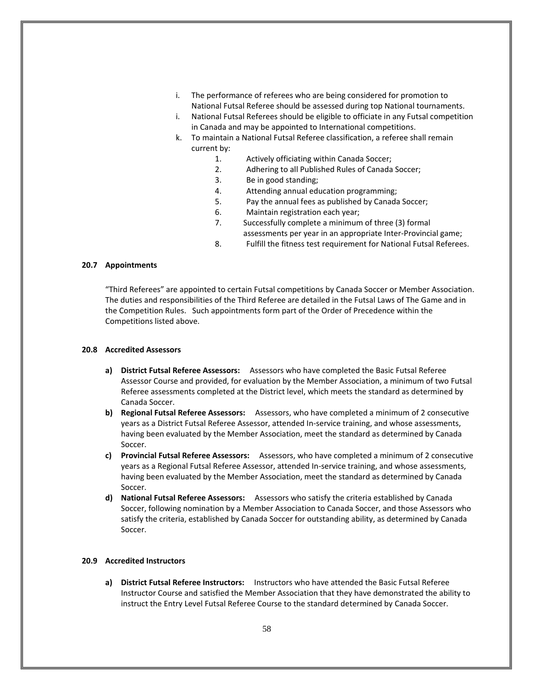- i. The performance of referees who are being considered for promotion to National Futsal Referee should be assessed during top National tournaments.
- i. National Futsal Referees should be eligible to officiate in any Futsal competition in Canada and may be appointed to International competitions.
- k. To maintain a National Futsal Referee classification, a referee shall remain current by:
	- 1. Actively officiating within Canada Soccer;
	- 2. Adhering to all Published Rules of Canada Soccer;
	- 3. Be in good standing;
	- 4. Attending annual education programming;
	- 5. Pay the annual fees as published by Canada Soccer;
	- 6. Maintain registration each year;
	- 7. Successfully complete a minimum of three (3) formal
		- assessments per year in an appropriate Inter-Provincial game;
	- 8. Fulfill the fitness test requirement for National Futsal Referees.

## **20.7 Appointments**

"Third Referees" are appointed to certain Futsal competitions by Canada Soccer or Member Association. The duties and responsibilities of the Third Referee are detailed in the Futsal Laws of The Game and in the Competition Rules. Such appointments form part of the Order of Precedence within the Competitions listed above.

## **20.8 Accredited Assessors**

- **a) District Futsal Referee Assessors:** Assessors who have completed the Basic Futsal Referee Assessor Course and provided, for evaluation by the Member Association, a minimum of two Futsal Referee assessments completed at the District level, which meets the standard as determined by Canada Soccer.
- **b) Regional Futsal Referee Assessors:** Assessors, who have completed a minimum of 2 consecutive years as a District Futsal Referee Assessor, attended In-service training, and whose assessments, having been evaluated by the Member Association, meet the standard as determined by Canada Soccer.
- **c) Provincial Futsal Referee Assessors:** Assessors, who have completed a minimum of 2 consecutive years as a Regional Futsal Referee Assessor, attended In-service training, and whose assessments, having been evaluated by the Member Association, meet the standard as determined by Canada Soccer.
- **d) National Futsal Referee Assessors:** Assessors who satisfy the criteria established by Canada Soccer, following nomination by a Member Association to Canada Soccer, and those Assessors who satisfy the criteria, established by Canada Soccer for outstanding ability, as determined by Canada Soccer.

## **20.9 Accredited Instructors**

**a) District Futsal Referee Instructors:** Instructors who have attended the Basic Futsal Referee Instructor Course and satisfied the Member Association that they have demonstrated the ability to instruct the Entry Level Futsal Referee Course to the standard determined by Canada Soccer.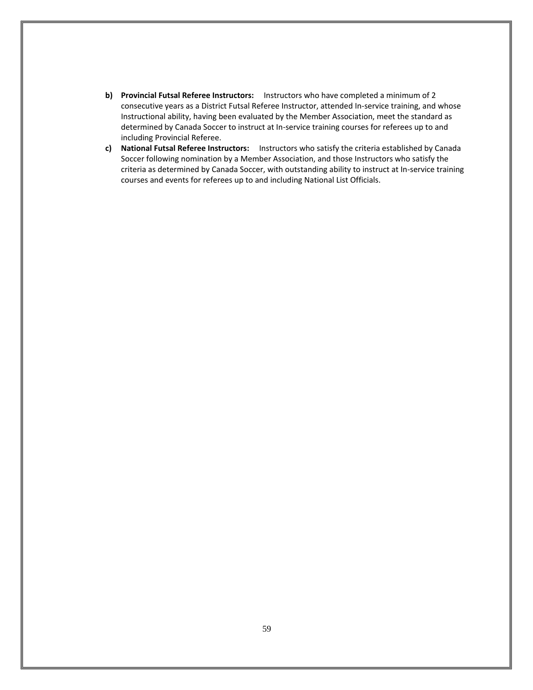- **b) Provincial Futsal Referee Instructors:** Instructors who have completed a minimum of 2 consecutive years as a District Futsal Referee Instructor, attended In-service training, and whose Instructional ability, having been evaluated by the Member Association, meet the standard as determined by Canada Soccer to instruct at In-service training courses for referees up to and including Provincial Referee.
- **c) National Futsal Referee Instructors:** Instructors who satisfy the criteria established by Canada Soccer following nomination by a Member Association, and those Instructors who satisfy the criteria as determined by Canada Soccer, with outstanding ability to instruct at In-service training courses and events for referees up to and including National List Officials.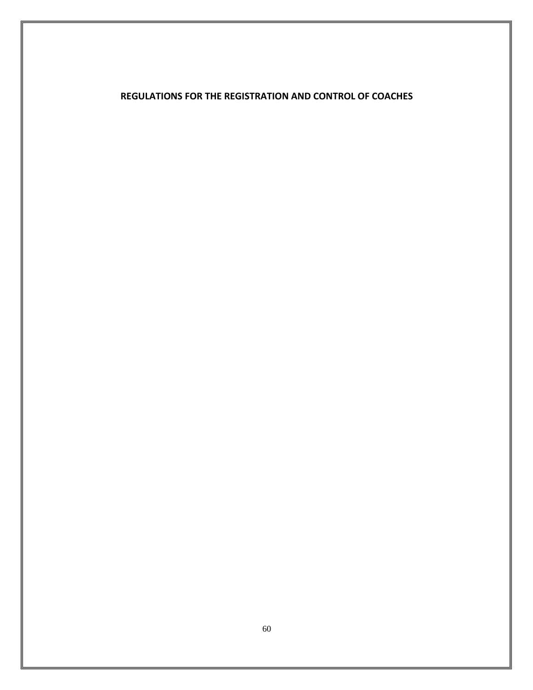## **REGULATIONS FOR THE REGISTRATION AND CONTROL OF COACHES**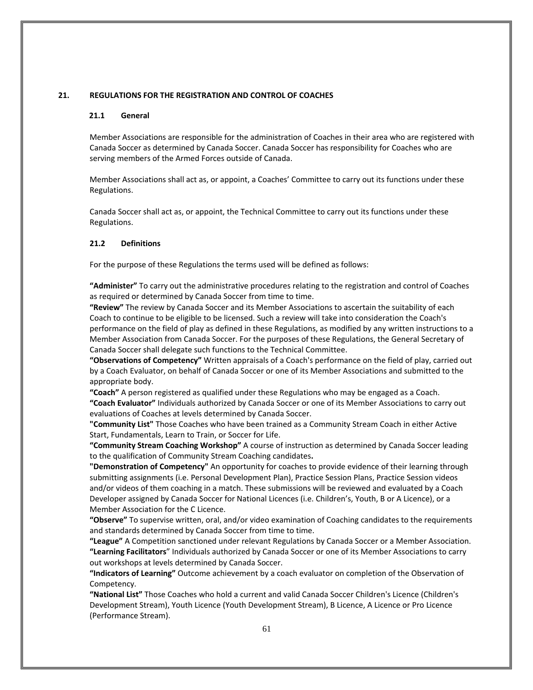## <span id="page-60-0"></span>**21. REGULATIONS FOR THE REGISTRATION AND CONTROL OF COACHES**

#### **21.1 General**

Member Associations are responsible for the administration of Coaches in their area who are registered with Canada Soccer as determined by Canada Soccer. Canada Soccer has responsibility for Coaches who are serving members of the Armed Forces outside of Canada.

Member Associations shall act as, or appoint, a Coaches' Committee to carry out its functions under these Regulations.

Canada Soccer shall act as, or appoint, the Technical Committee to carry out its functions under these Regulations.

#### **21.2 Definitions**

For the purpose of these Regulations the terms used will be defined as follows:

**"Administer"** To carry out the administrative procedures relating to the registration and control of Coaches as required or determined by Canada Soccer from time to time.

**"Review"** The review by Canada Soccer and its Member Associations to ascertain the suitability of each Coach to continue to be eligible to be licensed. Such a review will take into consideration the Coach's performance on the field of play as defined in these Regulations, as modified by any written instructions to a Member Association from Canada Soccer. For the purposes of these Regulations, the General Secretary of Canada Soccer shall delegate such functions to the Technical Committee.

**"Observations of Competency"** Written appraisals of a Coach's performance on the field of play, carried out by a Coach Evaluator, on behalf of Canada Soccer or one of its Member Associations and submitted to the appropriate body.

**"Coach"** A person registered as qualified under these Regulations who may be engaged as a Coach. **"Coach Evaluator"** Individuals authorized by Canada Soccer or one of its Member Associations to carry out evaluations of Coaches at levels determined by Canada Soccer.

**"Community List"** Those Coaches who have been trained as a Community Stream Coach in either Active Start, Fundamentals, Learn to Train, or Soccer for Life.

**"Community Stream Coaching Workshop"** A course of instruction as determined by Canada Soccer leading to the qualification of Community Stream Coaching candidates**.**

**"Demonstration of Competency"** An opportunity for coaches to provide evidence of their learning through submitting assignments (i.e. Personal Development Plan), Practice Session Plans, Practice Session videos and/or videos of them coaching in a match. These submissions will be reviewed and evaluated by a Coach Developer assigned by Canada Soccer for National Licences (i.e. Children's, Youth, B or A Licence), or a Member Association for the C Licence.

**"Observe"** To supervise written, oral, and/or video examination of Coaching candidates to the requirements and standards determined by Canada Soccer from time to time.

**"League"** A Competition sanctioned under relevant Regulations by Canada Soccer or a Member Association. **"Learning Facilitators**" Individuals authorized by Canada Soccer or one of its Member Associations to carry out workshops at levels determined by Canada Soccer.

**"Indicators of Learning"** Outcome achievement by a coach evaluator on completion of the Observation of Competency.

**"National List"** Those Coaches who hold a current and valid Canada Soccer Children's Licence (Children's Development Stream), Youth Licence (Youth Development Stream), B Licence, A Licence or Pro Licence (Performance Stream).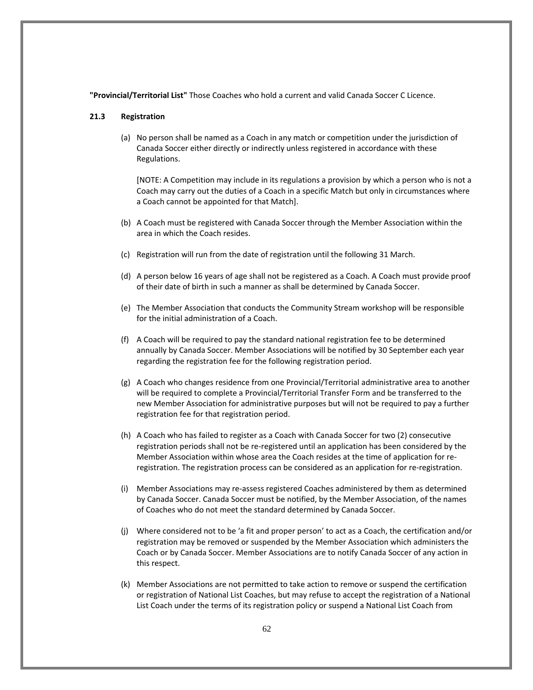**"Provincial/Territorial List"** Those Coaches who hold a current and valid Canada Soccer C Licence.

## **21.3 Registration**

(a) No person shall be named as a Coach in any match or competition under the jurisdiction of Canada Soccer either directly or indirectly unless registered in accordance with these Regulations.

[NOTE: A Competition may include in its regulations a provision by which a person who is not a Coach may carry out the duties of a Coach in a specific Match but only in circumstances where a Coach cannot be appointed for that Match].

- (b) A Coach must be registered with Canada Soccer through the Member Association within the area in which the Coach resides.
- (c) Registration will run from the date of registration until the following 31 March.
- (d) A person below 16 years of age shall not be registered as a Coach. A Coach must provide proof of their date of birth in such a manner as shall be determined by Canada Soccer.
- (e) The Member Association that conducts the Community Stream workshop will be responsible for the initial administration of a Coach.
- (f) A Coach will be required to pay the standard national registration fee to be determined annually by Canada Soccer. Member Associations will be notified by 30 September each year regarding the registration fee for the following registration period.
- (g) A Coach who changes residence from one Provincial/Territorial administrative area to another will be required to complete a Provincial/Territorial Transfer Form and be transferred to the new Member Association for administrative purposes but will not be required to pay a further registration fee for that registration period.
- (h) A Coach who has failed to register as a Coach with Canada Soccer for two (2) consecutive registration periods shall not be re-registered until an application has been considered by the Member Association within whose area the Coach resides at the time of application for reregistration. The registration process can be considered as an application for re-registration.
- (i) Member Associations may re-assess registered Coaches administered by them as determined by Canada Soccer. Canada Soccer must be notified, by the Member Association, of the names of Coaches who do not meet the standard determined by Canada Soccer.
- (j) Where considered not to be 'a fit and proper person' to act as a Coach, the certification and/or registration may be removed or suspended by the Member Association which administers the Coach or by Canada Soccer. Member Associations are to notify Canada Soccer of any action in this respect.
- (k) Member Associations are not permitted to take action to remove or suspend the certification or registration of National List Coaches, but may refuse to accept the registration of a National List Coach under the terms of its registration policy or suspend a National List Coach from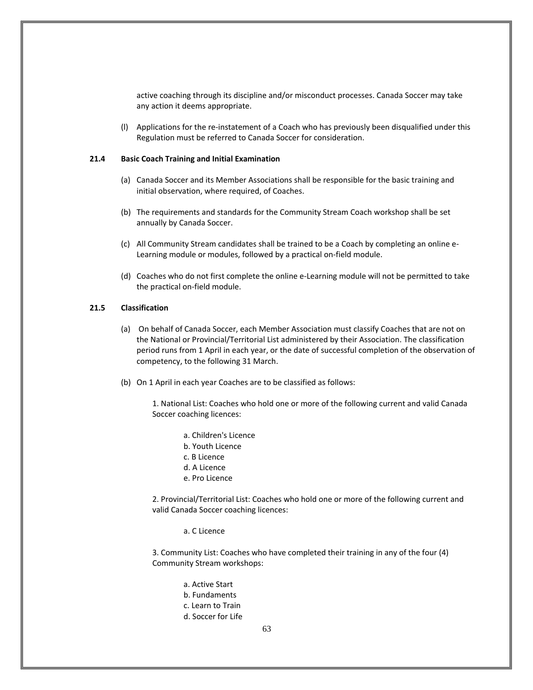active coaching through its discipline and/or misconduct processes. Canada Soccer may take any action it deems appropriate.

(l) Applications for the re-instatement of a Coach who has previously been disqualified under this Regulation must be referred to Canada Soccer for consideration.

#### **21.4 Basic Coach Training and Initial Examination**

- (a) Canada Soccer and its Member Associations shall be responsible for the basic training and initial observation, where required, of Coaches.
- (b) The requirements and standards for the Community Stream Coach workshop shall be set annually by Canada Soccer.
- (c) All Community Stream candidates shall be trained to be a Coach by completing an online e-Learning module or modules, followed by a practical on-field module.
- (d) Coaches who do not first complete the online e-Learning module will not be permitted to take the practical on-field module.

## **21.5 Classification**

- (a) On behalf of Canada Soccer, each Member Association must classify Coaches that are not on the National or Provincial/Territorial List administered by their Association. The classification period runs from 1 April in each year, or the date of successful completion of the observation of competency, to the following 31 March.
- (b) On 1 April in each year Coaches are to be classified as follows:

1. National List: Coaches who hold one or more of the following current and valid Canada Soccer coaching licences:

a. Children's Licence b. Youth Licence c. B Licence d. A Licence e. Pro Licence

2. Provincial/Territorial List: Coaches who hold one or more of the following current and valid Canada Soccer coaching licences:

a. C Licence

3. Community List: Coaches who have completed their training in any of the four (4) Community Stream workshops:

> a. Active Start b. Fundaments c. Learn to Train d. Soccer for Life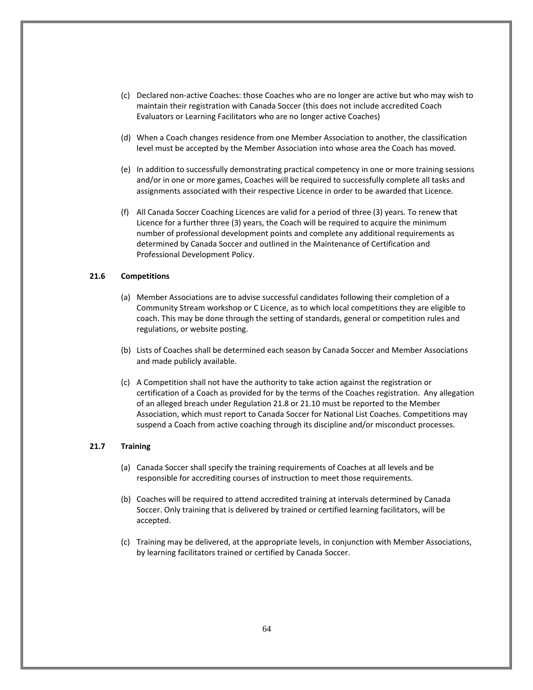- (c) Declared non-active Coaches: those Coaches who are no longer are active but who may wish to maintain their registration with Canada Soccer (this does not include accredited Coach Evaluators or Learning Facilitators who are no longer active Coaches)
- (d) When a Coach changes residence from one Member Association to another, the classification level must be accepted by the Member Association into whose area the Coach has moved.
- (e) In addition to successfully demonstrating practical competency in one or more training sessions and/or in one or more games, Coaches will be required to successfully complete all tasks and assignments associated with their respective Licence in order to be awarded that Licence.
- (f) All Canada Soccer Coaching Licences are valid for a period of three (3) years. To renew that Licence for a further three (3) years, the Coach will be required to acquire the minimum number of professional development points and complete any additional requirements as determined by Canada Soccer and outlined in the Maintenance of Certification and Professional Development Policy.

## **21.6 Competitions**

- (a) Member Associations are to advise successful candidates following their completion of a Community Stream workshop or C Licence, as to which local competitions they are eligible to coach. This may be done through the setting of standards, general or competition rules and regulations, or website posting.
- (b) Lists of Coaches shall be determined each season by Canada Soccer and Member Associations and made publicly available.
- (c) A Competition shall not have the authority to take action against the registration or certification of a Coach as provided for by the terms of the Coaches registration. Any allegation of an alleged breach under Regulation 21.8 or 21.10 must be reported to the Member Association, which must report to Canada Soccer for National List Coaches. Competitions may suspend a Coach from active coaching through its discipline and/or misconduct processes.

## **21.7 Training**

- (a) Canada Soccer shall specify the training requirements of Coaches at all levels and be responsible for accrediting courses of instruction to meet those requirements.
- (b) Coaches will be required to attend accredited training at intervals determined by Canada Soccer. Only training that is delivered by trained or certified learning facilitators, will be accepted.
- (c) Training may be delivered, at the appropriate levels, in conjunction with Member Associations, by learning facilitators trained or certified by Canada Soccer.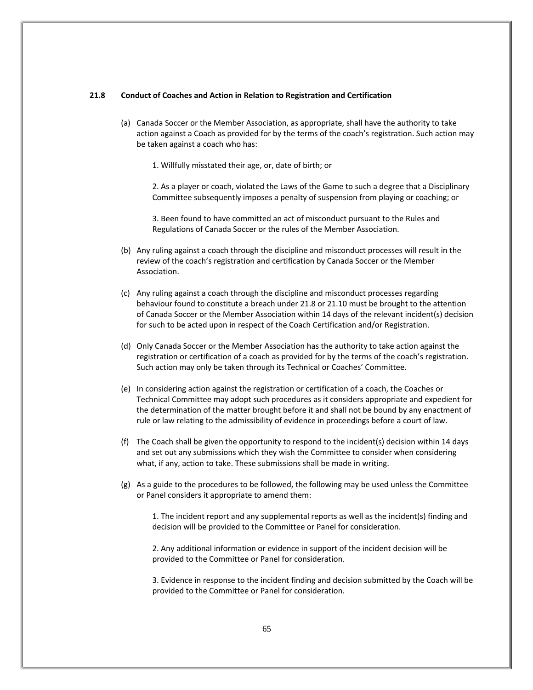## **21.8 Conduct of Coaches and Action in Relation to Registration and Certification**

- (a) Canada Soccer or the Member Association, as appropriate, shall have the authority to take action against a Coach as provided for by the terms of the coach's registration. Such action may be taken against a coach who has:
	- 1. Willfully misstated their age, or, date of birth; or

2. As a player or coach, violated the Laws of the Game to such a degree that a Disciplinary Committee subsequently imposes a penalty of suspension from playing or coaching; or

3. Been found to have committed an act of misconduct pursuant to the Rules and Regulations of Canada Soccer or the rules of the Member Association.

- (b) Any ruling against a coach through the discipline and misconduct processes will result in the review of the coach's registration and certification by Canada Soccer or the Member Association.
- (c) Any ruling against a coach through the discipline and misconduct processes regarding behaviour found to constitute a breach under 21.8 or 21.10 must be brought to the attention of Canada Soccer or the Member Association within 14 days of the relevant incident(s) decision for such to be acted upon in respect of the Coach Certification and/or Registration.
- (d) Only Canada Soccer or the Member Association has the authority to take action against the registration or certification of a coach as provided for by the terms of the coach's registration. Such action may only be taken through its Technical or Coaches' Committee.
- (e) In considering action against the registration or certification of a coach, the Coaches or Technical Committee may adopt such procedures as it considers appropriate and expedient for the determination of the matter brought before it and shall not be bound by any enactment of rule or law relating to the admissibility of evidence in proceedings before a court of law.
- (f) The Coach shall be given the opportunity to respond to the incident(s) decision within 14 days and set out any submissions which they wish the Committee to consider when considering what, if any, action to take. These submissions shall be made in writing.
- (g) As a guide to the procedures to be followed, the following may be used unless the Committee or Panel considers it appropriate to amend them:

1. The incident report and any supplemental reports as well as the incident(s) finding and decision will be provided to the Committee or Panel for consideration.

2. Any additional information or evidence in support of the incident decision will be provided to the Committee or Panel for consideration.

3. Evidence in response to the incident finding and decision submitted by the Coach will be provided to the Committee or Panel for consideration.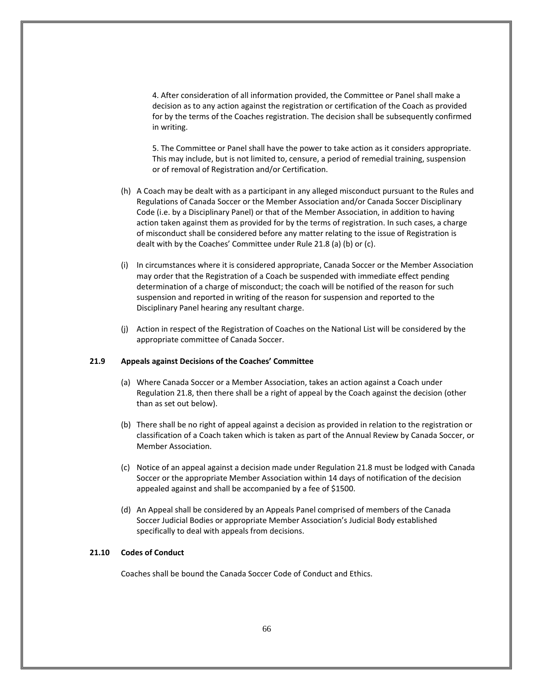4. After consideration of all information provided, the Committee or Panel shall make a decision as to any action against the registration or certification of the Coach as provided for by the terms of the Coaches registration. The decision shall be subsequently confirmed in writing.

5. The Committee or Panel shall have the power to take action as it considers appropriate. This may include, but is not limited to, censure, a period of remedial training, suspension or of removal of Registration and/or Certification.

- (h) A Coach may be dealt with as a participant in any alleged misconduct pursuant to the Rules and Regulations of Canada Soccer or the Member Association and/or Canada Soccer Disciplinary Code (i.e. by a Disciplinary Panel) or that of the Member Association, in addition to having action taken against them as provided for by the terms of registration. In such cases, a charge of misconduct shall be considered before any matter relating to the issue of Registration is dealt with by the Coaches' Committee under Rule 21.8 (a) (b) or (c).
- (i) In circumstances where it is considered appropriate, Canada Soccer or the Member Association may order that the Registration of a Coach be suspended with immediate effect pending determination of a charge of misconduct; the coach will be notified of the reason for such suspension and reported in writing of the reason for suspension and reported to the Disciplinary Panel hearing any resultant charge.
- (j) Action in respect of the Registration of Coaches on the National List will be considered by the appropriate committee of Canada Soccer.

## **21.9 Appeals against Decisions of the Coaches' Committee**

- (a) Where Canada Soccer or a Member Association, takes an action against a Coach under Regulation 21.8, then there shall be a right of appeal by the Coach against the decision (other than as set out below).
- (b) There shall be no right of appeal against a decision as provided in relation to the registration or classification of a Coach taken which is taken as part of the Annual Review by Canada Soccer, or Member Association.
- (c) Notice of an appeal against a decision made under Regulation 21.8 must be lodged with Canada Soccer or the appropriate Member Association within 14 days of notification of the decision appealed against and shall be accompanied by a fee of \$1500.
- (d) An Appeal shall be considered by an Appeals Panel comprised of members of the Canada Soccer Judicial Bodies or appropriate Member Association's Judicial Body established specifically to deal with appeals from decisions.

## **21.10 Codes of Conduct**

Coaches shall be bound the Canada Soccer Code of Conduct and Ethics.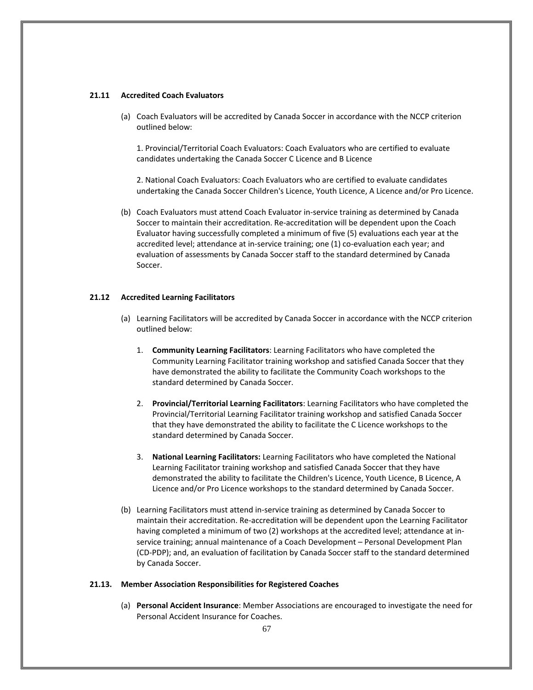## **21.11 Accredited Coach Evaluators**

(a) Coach Evaluators will be accredited by Canada Soccer in accordance with the NCCP criterion outlined below:

1. Provincial/Territorial Coach Evaluators: Coach Evaluators who are certified to evaluate candidates undertaking the Canada Soccer C Licence and B Licence

2. National Coach Evaluators: Coach Evaluators who are certified to evaluate candidates undertaking the Canada Soccer Children's Licence, Youth Licence, A Licence and/or Pro Licence.

(b) Coach Evaluators must attend Coach Evaluator in-service training as determined by Canada Soccer to maintain their accreditation. Re-accreditation will be dependent upon the Coach Evaluator having successfully completed a minimum of five (5) evaluations each year at the accredited level; attendance at in-service training; one (1) co-evaluation each year; and evaluation of assessments by Canada Soccer staff to the standard determined by Canada Soccer.

## **21.12 Accredited Learning Facilitators**

- (a) Learning Facilitators will be accredited by Canada Soccer in accordance with the NCCP criterion outlined below:
	- 1. **Community Learning Facilitators**: Learning Facilitators who have completed the Community Learning Facilitator training workshop and satisfied Canada Soccer that they have demonstrated the ability to facilitate the Community Coach workshops to the standard determined by Canada Soccer.
	- 2. **Provincial/Territorial Learning Facilitators**: Learning Facilitators who have completed the Provincial/Territorial Learning Facilitator training workshop and satisfied Canada Soccer that they have demonstrated the ability to facilitate the C Licence workshops to the standard determined by Canada Soccer.
	- 3. **National Learning Facilitators:** Learning Facilitators who have completed the National Learning Facilitator training workshop and satisfied Canada Soccer that they have demonstrated the ability to facilitate the Children's Licence, Youth Licence, B Licence, A Licence and/or Pro Licence workshops to the standard determined by Canada Soccer.
- (b) Learning Facilitators must attend in-service training as determined by Canada Soccer to maintain their accreditation. Re-accreditation will be dependent upon the Learning Facilitator having completed a minimum of two (2) workshops at the accredited level; attendance at inservice training; annual maintenance of a Coach Development – Personal Development Plan (CD-PDP); and, an evaluation of facilitation by Canada Soccer staff to the standard determined by Canada Soccer.

## **21.13. Member Association Responsibilities for Registered Coaches**

(a) **Personal Accident Insurance**: Member Associations are encouraged to investigate the need for Personal Accident Insurance for Coaches.